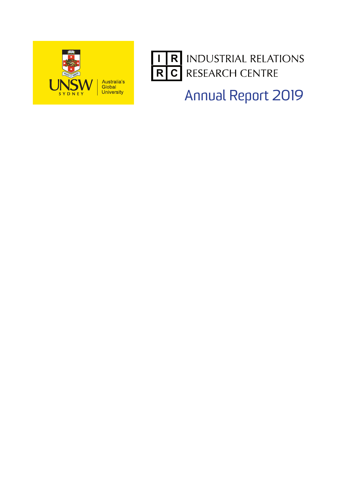



**INDUSTRIAL RELATIONS** RESEARCH CENTRE

Annual Report 2019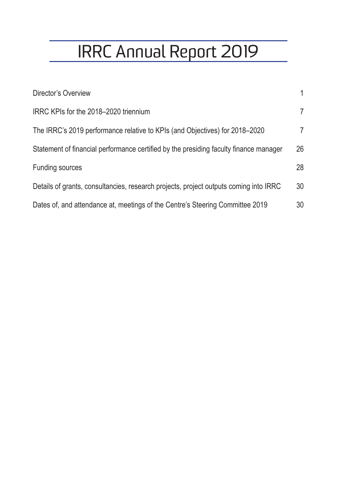# IRRC Annual Report 2019

| Director's Overview                                                                   | 1              |
|---------------------------------------------------------------------------------------|----------------|
| IRRC KPIs for the 2018–2020 triennium                                                 | $\overline{7}$ |
| The IRRC's 2019 performance relative to KPIs (and Objectives) for 2018–2020           | $\overline{7}$ |
| Statement of financial performance certified by the presiding faculty finance manager | 26             |
| <b>Funding sources</b>                                                                | 28             |
| Details of grants, consultancies, research projects, project outputs coming into IRRC | 30             |
| Dates of, and attendance at, meetings of the Centre's Steering Committee 2019         | 30             |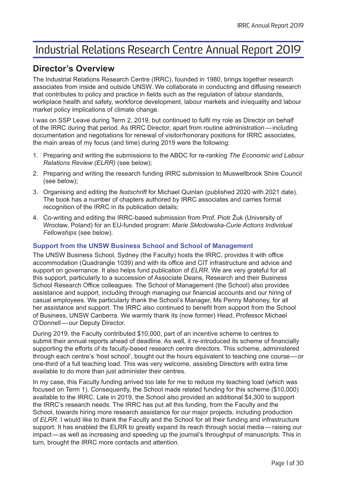# <span id="page-4-0"></span>Industrial Relations Research Centre Annual Report 2019

# **Director's Overview**

The Industrial Relations Research Centre (IRRC), founded in 1980, brings together research associates from inside and outside UNSW. We collaborate in conducting and diffusing research that contributes to policy and practice in fields such as the regulation of labour standards, workplace health and safety, workforce development, labour markets and in/equality and labour market policy implications of climate change.

I was on SSP Leave during Term 2, 2019, but continued to fulfil my role as Director on behalf of the IRRC during that period. As IRRC Director, apart from routine administration—including documentation and negotiations for renewal of visitor/honorary positions for IRRC associates, the main areas of my focus (and time) during 2019 were the following:

- 1. Preparing and writing the submissions to the ABDC for re-ranking *The Economic and Labour Relations Review (ELRR)* (see below);
- 2. Preparing and writing the research funding IRRC submission to Muswellbrook Shire Council (see below);
- 3. Organising and editing the *festschrift* for Michael Quinlan (published 2020 with 2021 date). The book has a number of chapters authored by IRRC associates and carries formal recognition of the IRRC in its publication details;
- 4. Co-writing and editing the IRRC-based submission from Prof. Piotr Żuk (University of Wrocław, Poland) for an EU-funded program: *Marie Skłodowska-Curie Actions Individual Fellowships* (see below).

# **Support from the UNSW Business School and School of Management**

The UNSW Business School, Sydney (the Faculty) hosts the IRRC, provides it with office accommodation (Quadrangle 1039) and with its office and CIT infrastructure and advice and support on governance. It also helps fund publication of *ELRR*. We are very grateful for all this support, particularly to a succession of Associate Deans, Research and their Business School Research Office colleagues. The School of Management (the School) also provides assistance and support, including through managing our financial accounts and our hiring of casual employees. We particularly thank the School's Manager, Ms Penny Mahoney, for all her assistance and support. The IRRC also continued to benefit from support from the School of Business, UNSW Canberra. We warmly thank its (now former) Head, Professor Michael O'Donnell—our Deputy Director.

During 2019, the Faculty contributed \$10,000, part of an incentive scheme to centres to submit their annual reports ahead of deadline. As well, it re-introduced its scheme of financially supporting the efforts of its faculty-based research centre directors. This scheme, administered through each centre's 'host school', bought out the hours equivalent to teaching one course—or one-third of a full teaching load. This was very welcome, assisting Directors with extra time available to do more than just administer their centres.

In my case, this Faculty funding arrived too late for me to reduce my teaching load (which was focused on Term 1). Consequently, the School made related funding for this scheme (\$10,000) available to the IRRC. Late in 2019, the School also provided an additional \$4,300 to support the IRRC's research needs. The IRRC has put all this funding, from the Faculty and the School, towards hiring more research assistance for our major projects, including production of *ELRR*. I would like to thank the Faculty and the School for all their funding and infrastructure support. It has enabled the ELRR to greatly expand its reach through social media—raising our impact—as well as increasing and speeding up the journal's throughput of manuscripts. This in turn, brought the IRRC more contacts and attention.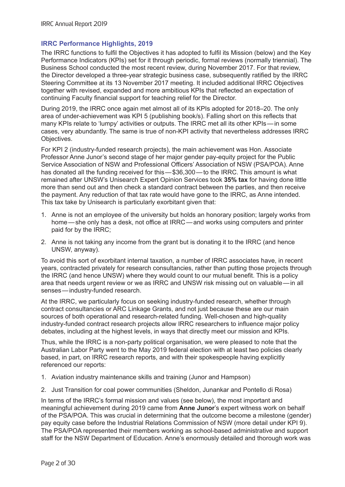# **IRRC Performance Highlights, 2019**

The IRRC functions to fulfil the Objectives it has adopted to fulfil its Mission (below) and the Key Performance Indicators (KPIs) set for it through periodic, formal reviews (normally triennial). The Business School conducted the most recent review, during November 2017. For that review, the Director developed a three-year strategic business case, subsequently ratified by the IRRC Steering Committee at its 13 November 2017 meeting. It included additional IRRC Objectives together with revised, expanded and more ambitious KPIs that reflected an expectation of continuing Faculty financial support for teaching relief for the Director.

During 2019, the IRRC once again met almost all of its KPIs adopted for 2018–20. The only area of under-achievement was KPI 5 (publishing book/s). Falling short on this reflects that many KPIs relate to 'lumpy' activities or outputs. The IRRC met all its other KPIs—in some cases, very abundantly. The same is true of non-KPI activity that nevertheless addresses IRRC Objectives.

For KPI 2 (industry-funded research projects), the main achievement was Hon. Associate Professor Anne Junor's second stage of her major gender pay-equity project for the Public Service Association of NSW and Professional Officers' Association of NSW (PSA/POA). Anne has donated all the funding received for this—\$36,300—to the IRRC. This amount is what remained after UNSW's Unisearch Expert Opinion Services took **35% tax** for having done little more than send out and then check a standard contract between the parties, and then receive the payment. Any reduction of that tax rate would have gone to the IRRC, as Anne intended. This tax take by Unisearch is particularly exorbitant given that:

- 1. Anne is not an employee of the university but holds an honorary position; largely works from home—she only has a desk, not office at IRRC—and works using computers and printer paid for by the IRRC;
- 2. Anne is not taking any income from the grant but is donating it to the IRRC (and hence UNSW, anyway).

To avoid this sort of exorbitant internal taxation, a number of IRRC associates have, in recent years, contracted privately for research consultancies, rather than putting those projects through the IRRC (and hence UNSW) where they would count to our mutual benefit. This is a policy area that needs urgent review or we as IRRC and UNSW risk missing out on valuable—in all senses—industry-funded research.

At the IRRC, we particularly focus on seeking industry-funded research, whether through contract consultancies or ARC Linkage Grants, and not just because these are our main sources of both operational and research-related funding. Well-chosen and high-quality industry-funded contract research projects allow IRRC researchers to influence major policy debates, including at the highest levels, in ways that directly meet our mission and KPIs.

Thus, while the IRRC is a non-party political organisation, we were pleased to note that the Australian Labor Party went to the May 2019 federal election with at least two policies clearly based, in part, on IRRC research reports, and with their spokespeople having explicitly referenced our reports:

- 1. Aviation industry maintenance skills and training (Junor and Hampson)
- 2. Just Transition for coal power communities (Sheldon, Junankar and Pontello di Rosa)

In terms of the IRRC's formal mission and values (see below), the most important and meaningful achievement during 2019 came from **Anne Junor**'s expert witness work on behalf of the PSA/POA. This was crucial in determining that the outcome become a milestone (gender) pay equity case before the Industrial Relations Commission of NSW (more detail under KPI 9). The PSA/POA represented their members working as school-based administrative and support staff for the NSW Department of Education. Anne's enormously detailed and thorough work was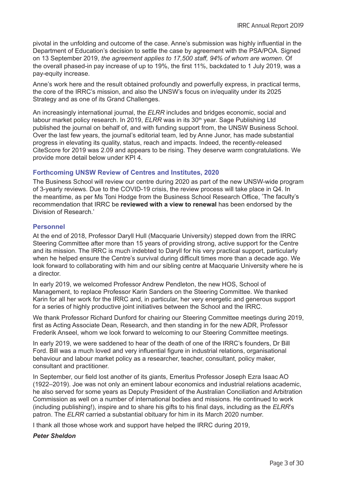pivotal in the unfolding and outcome of the case. Anne's submission was highly influential in the Department of Education's decision to settle the case by agreement with the PSA/POA. Signed on 13 September 2019, *the agreement applies to 17,500 staff, 94% of whom are women*. Of the overall phased-in pay increase of up to 19%, the first 11%, backdated to 1 July 2019, was a pay-equity increase.

Anne's work here and the result obtained profoundly and powerfully express, in practical terms, the core of the IRRC's mission, and also the UNSW's focus on in/equality under its 2025 Strategy and as one of its Grand Challenges.

An increasingly international journal, the *ELRR* includes and bridges economic, social and labour market policy research. In 2019, *ELRR* was in its 30<sup>th</sup> year. Sage Publishing Ltd published the journal on behalf of, and with funding support from, the UNSW Business School. Over the last few years, the journal's editorial team, led by Anne Junor, has made substantial progress in elevating its quality, status, reach and impacts. Indeed, the recently-released CiteScore for 2019 was 2.09 and appears to be rising. They deserve warm congratulations. We provide more detail below under KPI 4.

# **Forthcoming UNSW Review of Centres and Institutes, 2020**

The Business School will review our centre during 2020 as part of the new UNSW-wide program of 3-yearly reviews. Due to the COVID-19 crisis, the review process will take place in Q4. In the meantime, as per Ms Toni Hodge from the Business School Research Office, 'The faculty's recommendation that IRRC be **reviewed with a view to renewal** has been endorsed by the Division of Research.'

# **Personnel**

At the end of 2018, Professor Daryll Hull (Macquarie University) stepped down from the IRRC Steering Committee after more than 15 years of providing strong, active support for the Centre and its mission. The IRRC is much indebted to Daryll for his very practical support, particularly when he helped ensure the Centre's survival during difficult times more than a decade ago. We look forward to collaborating with him and our sibling centre at Macquarie University where he is a director.

In early 2019, we welcomed Professor Andrew Pendleton, the new HOS, School of Management, to replace Professor Karin Sanders on the Steering Committee. We thanked Karin for all her work for the IRRC and, in particular, her very energetic and generous support for a series of highly productive joint initiatives between the School and the IRRC.

We thank Professor Richard Dunford for chairing our Steering Committee meetings during 2019, first as Acting Associate Dean, Research, and then standing in for the new ADR, Professor Frederik Anseel, whom we look forward to welcoming to our Steering Committee meetings.

In early 2019, we were saddened to hear of the death of one of the IRRC's founders, Dr Bill Ford. Bill was a much loved and very influential figure in industrial relations, organisational behaviour and labour market policy as a researcher, teacher, consultant, policy maker, consultant and practitioner.

In September, our field lost another of its giants, Emeritus Professor Joseph Ezra Isaac AO (1922–2019). Joe was not only an eminent labour economics and industrial relations academic, he also served for some years as Deputy President of the Australian Conciliation and Arbitration Commission as well on a number of international bodies and missions. He continued to work (including publishing!), inspire and to share his gifts to his final days, including as the *ELRR*'s patron. The *ELRR* carried a substantial obituary for him in its March 2020 number.

I thank all those whose work and support have helped the IRRC during 2019,

# *Peter Sheldon*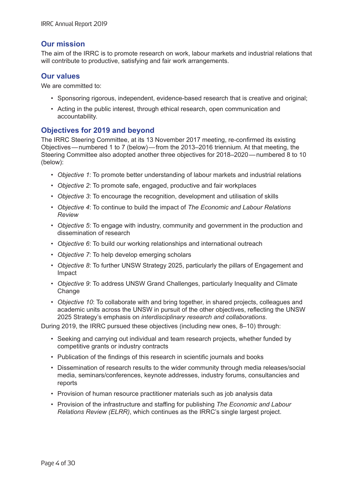# **Our mission**

The aim of the IRRC is to promote research on work, labour markets and industrial relations that will contribute to productive, satisfying and fair work arrangements.

# **Our values**

We are committed to:

- Sponsoring rigorous, independent, evidence-based research that is creative and original;
- Acting in the public interest, through ethical research, open communication and accountability.

# **Objectives for 2019 and beyond**

The IRRC Steering Committee, at its 13 November 2017 meeting, re-confirmed its existing Objectives—numbered 1 to 7 (below)—from the 2013–2016 triennium. At that meeting, the Steering Committee also adopted another three objectives for 2018–2020—numbered 8 to 10 (below):

- *Objective 1*: To promote better understanding of labour markets and industrial relations
- *Objective 2*: To promote safe, engaged, productive and fair workplaces
- *Objective 3*: To encourage the recognition, development and utilisation of skills
- *Objective 4*: To continue to build the impact of *The Economic and Labour Relations Review*
- *Objective 5*: To engage with industry, community and government in the production and dissemination of research
- *Objective 6*: To build our working relationships and international outreach
- *Objective 7*: To help develop emerging scholars
- *Objective 8*: To further UNSW Strategy 2025, particularly the pillars of Engagement and Impact
- *Objective 9*: To address UNSW Grand Challenges, particularly Inequality and Climate **Change**
- *Objective 10*: To collaborate with and bring together, in shared projects, colleagues and academic units across the UNSW in pursuit of the other objectives, reflecting the UNSW 2025 Strategy's emphasis on *interdisciplinary research and collaborations*.

During 2019, the IRRC pursued these objectives (including new ones, 8–10) through:

- Seeking and carrying out individual and team research projects, whether funded by competitive grants or industry contracts
- Publication of the findings of this research in scientific journals and books
- Dissemination of research results to the wider community through media releases/social media, seminars/conferences, keynote addresses, industry forums, consultancies and reports
- Provision of human resource practitioner materials such as job analysis data
- Provision of the infrastructure and staffing for publishing *The Economic and Labour Relations Review (ELRR)*, which continues as the IRRC's single largest project.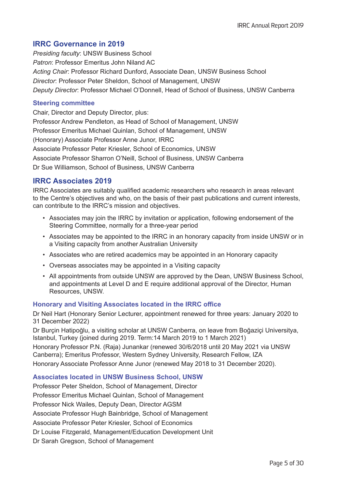# **IRRC Governance in 2019**

*Presiding faculty*: UNSW Business School *Patron*: Professor Emeritus John Niland AC *Acting Chair*: Professor Richard Dunford, Associate Dean, UNSW Business School *Director*: Professor Peter Sheldon, School of Management, UNSW *Deputy Director*: Professor Michael O'Donnell, Head of School of Business, UNSW Canberra

# **Steering committee**

Chair, Director and Deputy Director, plus: Professor Andrew Pendleton, as Head of School of Management, UNSW Professor Emeritus Michael Quinlan, School of Management, UNSW (Honorary) Associate Professor Anne Junor, IRRC Associate Professor Peter Kriesler, School of Economics, UNSW Associate Professor Sharron O'Neill, School of Business, UNSW Canberra Dr Sue Williamson, School of Business, UNSW Canberra

# **IRRC Associates 2019**

IRRC Associates are suitably qualified academic researchers who research in areas relevant to the Centre's objectives and who, on the basis of their past publications and current interests, can contribute to the IRRC's mission and objectives.

- Associates may join the IRRC by invitation or application, following endorsement of the Steering Committee, normally for a three-year period
- Associates may be appointed to the IRRC in an honorary capacity from inside UNSW or in a Visiting capacity from another Australian University
- Associates who are retired academics may be appointed in an Honorary capacity
- Overseas associates may be appointed in a Visiting capacity
- All appointments from outside UNSW are approved by the Dean, UNSW Business School, and appointments at Level D and E require additional approval of the Director, Human Resources, UNSW.

# **Honorary and Visiting Associates located in the IRRC office**

Dr Neil Hart (Honorary Senior Lecturer, appointment renewed for three years: January 2020 to 31 December 2022)

Dr Burçin Hatipoğlu, a visiting scholar at UNSW Canberra, on leave from Boğaziçi Universitya, Istanbul, Turkey (joined during 2019. Term:14 March 2019 to 1 March 2021)

Honorary Professor P.N. (Raja) Junankar (renewed 30/6/2018 until 20 May 2021 via UNSW Canberra); Emeritus Professor, Western Sydney University, Research Fellow, IZA

Honorary Associate Professor Anne Junor (renewed May 2018 to 31 December 2020).

# **Associates located in UNSW Business School, UNSW**

Professor Peter Sheldon, School of Management, Director Professor Emeritus Michael Quinlan, School of Management Professor Nick Wailes, Deputy Dean, Director AGSM Associate Professor Hugh Bainbridge, School of Management Associate Professor Peter Kriesler, School of Economics Dr Louise Fitzgerald, Management/Education Development Unit Dr Sarah Gregson, School of Management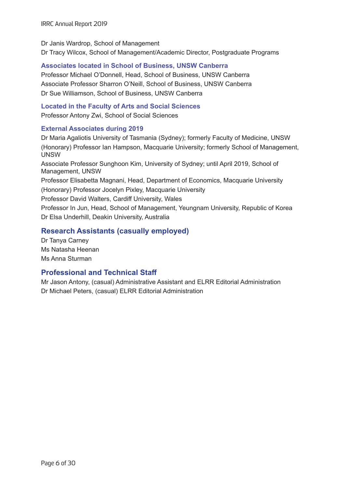# Dr Janis Wardrop, School of Management

Dr Tracy Wilcox, School of Management/Academic Director, Postgraduate Programs

# **Associates located in School of Business, UNSW Canberra**

Professor Michael O'Donnell, Head, School of Business, UNSW Canberra Associate Professor Sharron O'Neill, School of Business, UNSW Canberra Dr Sue Williamson, School of Business, UNSW Canberra

# **Located in the Faculty of Arts and Social Sciences**

Professor Antony Zwi, School of Social Sciences

# **External Associates during 2019**

Dr Maria Agaliotis University of Tasmania (Sydney); formerly Faculty of Medicine, UNSW (Honorary) Professor Ian Hampson, Macquarie University; formerly School of Management, UNSW Associate Professor Sunghoon Kim, University of Sydney; until April 2019, School of Management, UNSW Professor Elisabetta Magnani, Head, Department of Economics, Macquarie University (Honorary) Professor Jocelyn Pixley, Macquarie University Professor David Walters, Cardiff University, Wales Professor In Jun, Head, School of Management, Yeungnam University, Republic of Korea Dr Elsa Underhill, Deakin University, Australia

# **Research Assistants (casually employed)**

Dr Tanya Carney Ms Natasha Heenan Ms Anna Sturman

# **Professional and Technical Staff**

Mr Jason Antony, (casual) Administrative Assistant and ELRR Editorial Administration Dr Michael Peters, (casual) ELRR Editorial Administration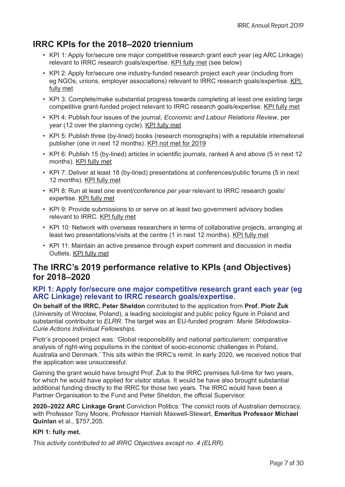# <span id="page-10-0"></span>**IRRC KPIs for the 2018–2020 triennium**

- KPI 1: Apply for/secure one major competitive research grant *each year* (eg ARC Linkage) relevant to IRRC research goals/expertise. KPI fully met (see below)
- KPI 2: Apply for/secure one industry-funded research project *each year* (including from eg NGOs, unions, employer associations) relevant to IRRC research goals/expertise. KPI fully met
- KPI 3: Complete/make substantial progress towards completing at least one existing large competitive grant-funded project relevant to IRRC research goals/expertise. KPI fully met
- KPI 4: Publish four issues of the journal, *Economic and Labour Relations Review*, per year (12 over the planning cycle). KPI fully met
- KPI 5: Publish three (by-lined) books (research monographs) with a reputable international publisher (one in next 12 months). KPI not met for 2019
- KPI 6: Publish 15 (by-lined) articles in scientific journals, ranked A and above (5 in next 12 months). KPI fully met
- KPI 7: Deliver at least 18 (by-lined) presentations at conferences/public forums (5 in next 12 months). KPI fully met
- KPI 8: Run at least one event/conference *per year* relevant to IRRC research goals/ expertise. KPI fully met
- KPI 9: Provide submissions to or serve on at least two government advisory bodies relevant to IRRC. KPI fully met
- KPI 10: Network with overseas researchers in terms of collaborative projects, arranging at least two presentations/visits at the centre (1 in next 12 months). KPI fully met
- KPI 11: Maintain an active presence through expert comment and discussion in media Outlets. KPI fully met

# **The IRRC's 2019 performance relative to KPIs (and Objectives) for 2018–2020**

# **KPI 1: Apply for/secure one major competitive research grant each year (eg ARC Linkage) relevant to IRRC research goals/expertise.**

**On behalf of the IRRC, Peter Sheldon** contributed to the application from **Prof. Piotr Żuk** (University of Wrocław, Poland), a leading sociologist and public policy figure in Poland and substantial contributor to *ELRR*. The target was an EU-funded program: *Marie Skłodowska-Curie Actions Individual Fellowships*.

Piotr's proposed project was: 'Global responsibility and national particularism: comparative analysis of right-wing populisms in the context of socio-economic challenges in Poland, Australia and Denmark.' This sits within the IRRC's remit. In early 2020, we received notice that the application was unsuccessful.

Gaining the grant would have brought Prof. Żuk to the IRRC premises full-time for two years, for which he would have applied for visitor status. It would be have also brought substantial additional funding directly to the IRRC for those two years. The IRRC would have been a Partner Organisation to the Fund and Peter Sheldon, the official Supervisor.

**2020–2022 ARC Linkage Grant** Conviction Politics: The convict roots of Australian democracy, with Professor Tony Moore, Professor Hamish Maxwell-Stewart, **Emeritus Professor Michael Quinlan** et al., \$757,205.

# **KPI 1: fully met.**

*This activity contributed to all IRRC Objectives except no. 4 (ELRR).*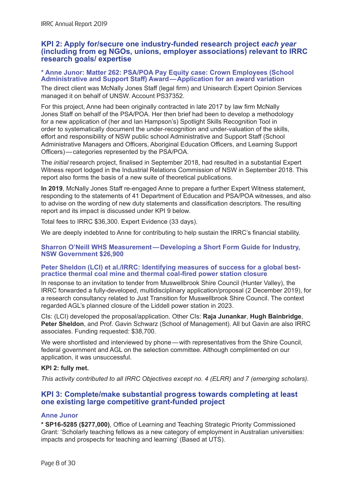# **KPI 2: Apply for/secure one industry-funded research project** *each year* **(including from eg NGOs, unions, employer associations) relevant to IRRC research goals/ expertise**

#### **\* Anne Junor: Matter 262: PSA/POA Pay Equity case: Crown Employees (School Administrative and Support Staff) Award—Application for an award variation**

The direct client was McNally Jones Staff (legal firm) and Unisearch Expert Opinion Services managed it on behalf of UNSW. Account PS37352.

For this project, Anne had been originally contracted in late 2017 by law firm McNally Jones Staff on behalf of the PSA/POA. Her then brief had been to develop a methodology for a new application of (her and Ian Hampson's) Spotlight Skills Recognition Tool in order to systematically document the under-recognition and under-valuation of the skills, effort and responsibility of NSW public school Administrative and Support Staff (School Administrative Managers and Officers, Aboriginal Education Officers, and Learning Support Officers)—categories represented by the PSA/POA.

The *initial* research project, finalised in September 2018, had resulted in a substantial Expert Witness report lodged in the Industrial Relations Commission of NSW in September 2018. This report also forms the basis of a new suite of theoretical publications.

**In 2019**, McNally Jones Staff re-engaged Anne to prepare a further Expert Witness statement, responding to the statements of 41 Department of Education and PSA/POA witnesses, and also to advise on the wording of new duty statements and classification descriptors. The resulting report and its impact is discussed under KPI 9 below.

Total fees to IRRC \$36,300. Expert Evidence (33 days).

We are deeply indebted to Anne for contributing to help sustain the IRRC's financial stability.

# **Sharron O'Neill WHS Measurement—Developing a Short Form Guide for Industry, NSW Government \$26,900**

# **Peter Sheldon (LCI) et al./IRRC: Identifying measures of success for a global bestpractice thermal coal mine and thermal coal-fired power station closure**

In response to an invitation to tender from Muswellbrook Shire Council (Hunter Valley), the IRRC forwarded a fully-developed, multidisciplinary application/proposal (2 December 2019), for a research consultancy related to Just Transition for Muswellbrook Shire Council. The context regarded AGL's planned closure of the Liddell power station in 2023.

CIs: (LCI) developed the proposal/application. Other CIs: **Raja Junankar**, **Hugh Bainbridge**, **Peter Sheldon**, and Prof. Gavin Schwarz (School of Management). All but Gavin are also IRRC associates. Funding requested: \$38,700.

We were shortlisted and interviewed by phone—with representatives from the Shire Council, federal government and AGL on the selection committee. Although complimented on our application, it was unsuccessful.

# **KPI 2: fully met.**

*This activity contributed to all IRRC Objectives except no. 4 (ELRR) and 7 (emerging scholars).*

# **KPI 3: Complete/make substantial progress towards completing at least one existing large competitive grant-funded project**

# **Anne Junor**

**\* SP16-5285 (\$277,000)**, Office of Learning and Teaching Strategic Priority Commissioned Grant: 'Scholarly teaching fellows as a new category of employment in Australian universities: impacts and prospects for teaching and learning' (Based at UTS).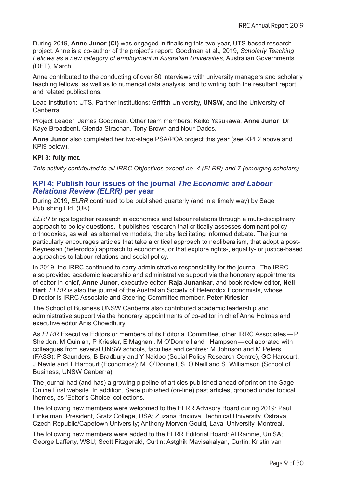During 2019, **Anne Junor (CI)** was engaged in finalising this two-year, UTS-based research project. Anne is a co-author of the project's report: Goodman et al., 2019, *Scholarly Teaching Fellows as a new category of employment in Australian Universities*, Australian Governments (DET), March.

Anne contributed to the conducting of over 80 interviews with university managers and scholarly teaching fellows, as well as to numerical data analysis, and to writing both the resultant report and related publications.

Lead institution: UTS. Partner institutions: Griffith University, **UNSW**, and the University of Canberra.

Project Leader: James Goodman. Other team members: Keiko Yasukawa, **Anne Junor**, Dr Kaye Broadbent, Glenda Strachan, Tony Brown and Nour Dados.

**Anne Junor** also completed her two-stage PSA/POA project this year (see KPI 2 above and KPI9 below).

# **KPI 3: fully met.**

*This activity contributed to all IRRC Objectives except no. 4 (ELRR) and 7 (emerging scholars).*

# **KPI 4: Publish four issues of the journal** *The Economic and Labour Relations Review (ELRR)* **per year**

During 2019, *ELRR* continued to be published quarterly (and in a timely way) by Sage Publishing Ltd. (UK).

*ELRR* brings together research in economics and labour relations through a multi-disciplinary approach to policy questions. It publishes research that critically assesses dominant policy orthodoxies, as well as alternative models, thereby facilitating informed debate. The journal particularly encourages articles that take a critical approach to neoliberalism, that adopt a post-Keynesian (heterodox) approach to economics, or that explore rights-, equality- or justice-based approaches to labour relations and social policy.

In 2019, the IRRC continued to carry administrative responsibility for the journal. The IRRC also provided academic leadership and administrative support via the honorary appointments of editor-in-chief, **Anne Junor**, executive editor, **Raja Junankar**, and book review editor, **Neil Hart**. *ELRR* is also the journal of the Australian Society of Heterodox Economists, whose Director is IRRC Associate and Steering Committee member, **Peter Kriesler**.

The School of Business UNSW Canberra also contributed academic leadership and administrative support via the honorary appointments of co-editor in chief Anne Holmes and executive editor Anis Chowdhury.

As *ELRR* Executive Editors or members of its Editorial Committee, other IRRC Associates—P Sheldon, M Quinlan, P Kriesler, E Magnani, M O'Donnell and I Hampson—collaborated with colleagues from several UNSW schools, faculties and centres: M Johnson and M Peters (FASS); P Saunders, B Bradbury and Y Naidoo (Social Policy Research Centre), GC Harcourt, J Nevile and T Harcourt (Economics); M. O'Donnell, S. O'Neill and S. Williamson (School of Business, UNSW Canberra).

The journal had (and has) a growing pipeline of articles published ahead of print on the Sage Online First website. In addition, Sage published (on-line) past articles, grouped under topical themes, as 'Editor's Choice' collections.

The following new members were welcomed to the ELRR Advisory Board during 2019: Paul Finkelman, President, Gratz College, USA; Zuzana Brixiova, Technical University, Ostrava, Czech Republic/Capetown University; Anthony Morven Gould, Laval University, Montreal.

The following new members were added to the ELRR Editorial Board: Al Rainnie, UniSA; George Lafferty, WSU; Scott Fitzgerald, Curtin; Astghik Mavisakalyan, Curtin; Kristin van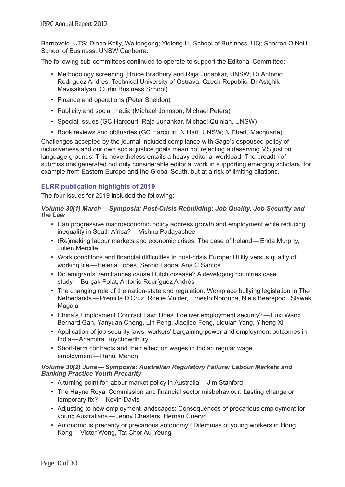Barneveld, UTS; Diana Kelly, Wollongong; Yiqiong Li, School of Business, UQ; Sharron O'Neill, School of Business, UNSW Canberra.

The following sub-committees continued to operate to support the Editorial Committee:

- Methodology screening (Bruce Bradbury and Raja Junankar, UNSW; Dr Antonio Rodriguez Andres, Technical University of Ostrava, Czech Republic; Dr Astghik Mavisakalyan, Curtin Business School)
- Finance and operations (Peter Sheldon)
- Publicity and social media (Michael Johnson, Michael Peters)
- Special Issues (GC Harcourt, Raja Junankar, Michael Quinlan, UNSW)
- Book reviews and obituaries (GC Harcourt, N Hart, UNSW; N Ebert, Macquarie)

Challenges accepted by the journal included compliance with Sage's espoused policy of inclusiveness and our own social justice goals mean not rejecting a deserving MS just on language grounds. This nevertheless entails a heavy editorial workload. The breadth of submissions generated not only considerable editorial work in supporting emerging scholars, for example from Eastern Europe and the Global South, but at a risk of limiting citations.

# **ELRR publication highlights of 2019**

The four issues for 2019 included the following:

# *Volume 30(1) March—Symposia: Post-Crisis Rebuilding: Job Quality, Job Security and the Law*

- Can progressive macroeconomic policy address growth and employment while reducing inequality in South Africa?—Vishnu Padayachee
- (Re)making labour markets and economic crises: The case of Ireland—Enda Murphy, Julien Mercille
- Work conditions and financial difficulties in post-crisis Europe: Utility versus quality of working life—Helena Lopes, Sérgio Lagoa, Ana C Santos
- Do emigrants' remittances cause Dutch disease? A developing countries case study—Burçak Polat, Antonio Rodríguez Andrés
- The changing role of the nation-state and regulation: Workplace bullying legislation in The Netherlands—Premilla D'Cruz, Roelie Mulder, Ernesto Noronha, Niels Beerepoot, Slawek **Magala**
- China's Employment Contract Law: Does it deliver employment security?—Fuxi Wang, Bernard Gan, Yanyuan Cheng, Lin Peng, Jiaojiao Feng, Liquian Yang, Yiheng Xi
- Application of job security laws, workers' bargaining power and employment outcomes in India—Anamitra Roychowdhury
- Short-term contracts and their effect on wages in Indian regular wage employment—Rahul Menon

# *Volume 30(2) June—Symposia: Australian Regulatory Failure: Labour Markets and Banking Practice Youth Precarity*

- A turning point for labour market policy in Australia—Jim Stanford
- The Hayne Royal Commission and financial sector misbehaviour: Lasting change or temporary fix?—Kevin Davis
- Adjusting to new employment landscapes: Consequences of precarious employment for young Australians—Jenny Chesters, Hernan Cuervo
- Autonomous precarity or precarious autonomy? Dilemmas of young workers in Hong Kong—Victor Wong, Tat Chor Au-Yeung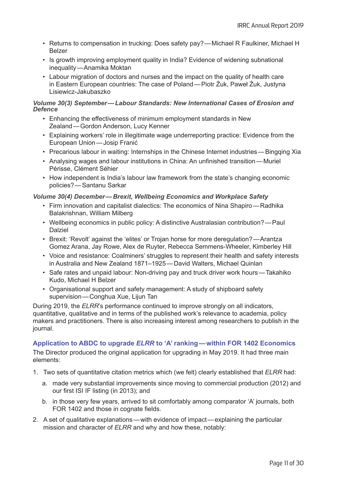- Returns to compensation in trucking: Does safety pay?—Michael R Faulkiner, Michael H Belzer
- Is growth improving employment quality in India? Evidence of widening subnational inequality—Anamika Moktan
- Labour migration of doctors and nurses and the impact on the quality of health care in Eastern European countries: The case of Poland—Piotr Żuk, Paweł Żuk, Justyna Lisiewicz-Jakubaszko

*Volume 30(3) September—Labour Standards: New International Cases of Erosion and Defence*

- Enhancing the effectiveness of minimum employment standards in New Zealand—Gordon Anderson, Lucy Kenner
- Explaining workers' role in illegitimate wage underreporting practice: Evidence from the European Union—Josip Franić
- Precarious labour in waiting: Internships in the Chinese Internet industries—Bingqing Xia
- Analysing wages and labour institutions in China: An unfinished transition—Muriel Périsse, Clément Séhier
- How independent is India's labour law framework from the state's changing economic policies?—Santanu Sarkar

*Volume 30(4) December—Brexit, Wellbeing Economics and Workplace Safety*

- Firm innovation and capitalist dialectics: The economics of Nina Shapiro—Radhika Balakrishnan, William Milberg
- Wellbeing economics in public policy: A distinctive Australasian contribution?—Paul Dalziel
- Brexit: 'Revolt' against the 'elites' or Trojan horse for more deregulation?—Arantza Gomez Arana, Jay Rowe, Alex de Ruyter, Rebecca Semmens-Wheeler, Kimberley Hill
- Voice and resistance: Coalminers' struggles to represent their health and safety interests in Australia and New Zealand 1871–1925—David Walters, Michael Quinlan
- Safe rates and unpaid labour: Non-driving pay and truck driver work hours—Takahiko Kudo, Michael H Belzer
- Organisational support and safety management: A study of shipboard safety supervision—Conghua Xue, Lijun Tan

During 2019, the *ELRR*'s performance continued to improve strongly on all indicators, quantitative, qualitative and in terms of the published work's relevance to academia, policy makers and practitioners. There is also increasing interest among researchers to publish in the journal.

# **Application to ABDC to upgrade** *ELRR* **to 'A' ranking—within FOR 1402 Economics**

The Director produced the original application for upgrading in May 2019. It had three main elements:

- 1. Two sets of quantitative citation metrics which (we felt) clearly established that *ELRR* had:
	- a. made very substantial improvements since moving to commercial production (2012) and our first ISI IF listing (in 2013); and
	- b. in those very few years, arrived to sit comfortably among comparator 'A' journals, both FOR 1402 and those in cognate fields.
- 2. A set of qualitative explanations—with evidence of impact—explaining the particular mission and character of *ELRR* and why and how these, notably: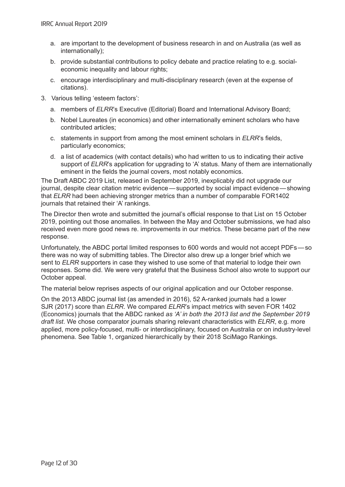- a. are important to the development of business research in and on Australia (as well as internationally);
- b. provide substantial contributions to policy debate and practice relating to e.g. socialeconomic inequality and labour rights;
- c. encourage interdisciplinary and multi-disciplinary research (even at the expense of citations).
- 3. Various telling 'esteem factors':
	- a. members of *ELRR*'s Executive (Editorial) Board and International Advisory Board;
	- b. Nobel Laureates (in economics) and other internationally eminent scholars who have contributed articles;
	- c. statements in support from among the most eminent scholars in *ELRR*'s fields, particularly economics;
	- d. a list of academics (with contact details) who had written to us to indicating their active support of *ELRR*'s application for upgrading to 'A' status. Many of them are internationally eminent in the fields the journal covers, most notably economics.

The Draft ABDC 2019 List, released in September 2019, inexplicably did not upgrade our journal, despite clear citation metric evidence—supported by social impact evidence—showing that *ELRR* had been achieving stronger metrics than a number of comparable FOR1402 journals that retained their 'A' rankings.

The Director then wrote and submitted the journal's official response to that List on 15 October 2019, pointing out those anomalies. In between the May and October submissions, we had also received even more good news re. improvements in our metrics. These became part of the new response.

Unfortunately, the ABDC portal limited responses to 600 words and would not accept PDFs—so there was no way of submitting tables. The Director also drew up a longer brief which we sent to *ELRR* supporters in case they wished to use some of that material to lodge their own responses. Some did. We were very grateful that the Business School also wrote to support our October appeal.

The material below reprises aspects of our original application and our October response.

On the 2013 ABDC journal list (as amended in 2016), 52 A-ranked journals had a lower SJR (2017) score than *ELRR*. We compared *ELRR*'s impact metrics with seven FOR 1402 (Economics) journals that the ABDC ranked *as 'A' in both the 2013 list and the September 2019 draft list*. We chose comparator journals sharing relevant characteristics with *ELRR*, e.g. more applied, more policy-focused, multi- or interdisciplinary, focused on Australia or on industry-level phenomena. See Table 1, organized hierarchically by their 2018 SciMago Rankings.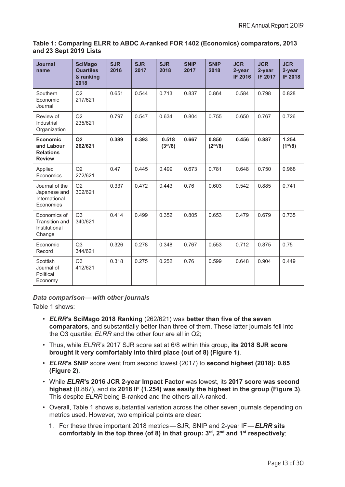# **Table 1: Comparing ELRR to ABDC A-ranked FOR 1402 (Economics) comparators, 2013 and 23 Sept 2019 Lists**

| <b>Journal</b><br>name                                             | <b>SciMago</b><br><b>Quartiles</b><br>& ranking<br>2018 | <b>SJR</b><br>2016 | <b>SJR</b><br>2017 | <b>SJR</b><br>2018            | <b>SNIP</b><br>2017 | <b>SNIP</b><br>2018           | <b>JCR</b><br>2-year<br><b>IF 2016</b> | <b>JCR</b><br>2-year<br><b>IF 2017</b> | <b>JCR</b><br>2-year<br><b>IF 2018</b> |
|--------------------------------------------------------------------|---------------------------------------------------------|--------------------|--------------------|-------------------------------|---------------------|-------------------------------|----------------------------------------|----------------------------------------|----------------------------------------|
| Southern<br>Economic<br>Journal                                    | Q2<br>217/621                                           | 0.651              | 0.544              | 0.713                         | 0.837               | 0.864                         | 0.584                                  | 0.798                                  | 0.828                                  |
| Review of<br>Industrial<br>Organization                            | Q2<br>235/621                                           | 0.797              | 0.547              | 0.634                         | 0.804               | 0.755                         | 0.650                                  | 0.767                                  | 0.726                                  |
| <b>Economic</b><br>and Labour<br><b>Relations</b><br><b>Review</b> | Q2<br>262/621                                           | 0.389              | 0.393              | 0.518<br>(3 <sup>rd</sup> /8) | 0.667               | 0.850<br>(2 <sup>nd</sup> /8) | 0.456                                  | 0.887                                  | 1.254<br>(1 <sup>st</sup> /8)          |
| Applied<br>Economics                                               | Q2<br>272/621                                           | 0.47               | 0.445              | 0.499                         | 0.673               | 0.781                         | 0.648                                  | 0.750                                  | 0.968                                  |
| Journal of the<br>Japanese and<br>International<br>Economies       | Q2<br>302/621                                           | 0.337              | 0.472              | 0.443                         | 0.76                | 0.603                         | 0.542                                  | 0.885                                  | 0.741                                  |
| Economics of<br><b>Transition and</b><br>Institutional<br>Change   | Q3<br>340/621                                           | 0.414              | 0.499              | 0.352                         | 0.805               | 0.653                         | 0.479                                  | 0.679                                  | 0.735                                  |
| Economic<br>Record                                                 | Q <sub>3</sub><br>344/621                               | 0.326              | 0.278              | 0.348                         | 0.767               | 0.553                         | 0.712                                  | 0.875                                  | 0.75                                   |
| Scottish<br>Journal of<br>Political<br>Economy                     | Q3<br>412/621                                           | 0.318              | 0.275              | 0.252                         | 0.76                | 0.599                         | 0.648                                  | 0.904                                  | 0.449                                  |

*Data comparison—with other journals*

Table 1 shows:

- *ELRR***'s SciMago 2018 Ranking** (262/621) was **better than five of the seven comparators**, and substantially better than three of them. These latter journals fell into the Q3 quartile; *ELRR* and the other four are all in Q2;
- Thus, while *ELRR*'s 2017 SJR score sat at 6/8 within this group, **its 2018 SJR score brought it very comfortably into third place (out of 8) (Figure 1)**.
- *ELRR***'s SNIP** score went from second lowest (2017) to **second highest (2018): 0.85 (Figure 2)**.
- While *ELRR***'s 2016 JCR 2-year Impact Factor** was lowest, its **2017 score was second highest** (0.887), and its **2018 IF (1.254) was easily the highest in the group (Figure 3)**. This despite *ELRR* being B-ranked and the others all A-ranked.
- Overall, Table 1 shows substantial variation across the other seven journals depending on metrics used. However, two empirical points are clear:
	- 1. For these three important 2018 metrics—SJR, SNIP and 2-year IF—*ELRR* **sits comfortably in the top three (of 8) in that group: 3rd, 2nd and 1st respectively**;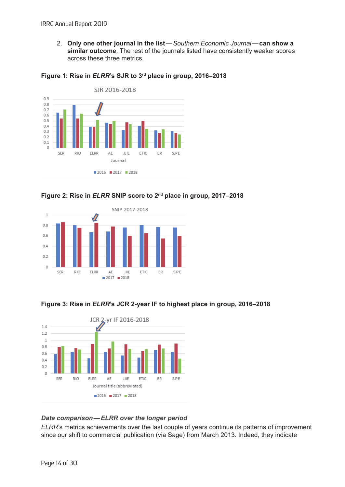2. **Only one other journal in the list—***Southern Economic Journal***—can show a similar outcome**. The rest of the journals listed have consistently weaker scores across these three metrics.



#### **Figure 1: Rise in** *ELRR***'s SJR to 3rd place in group, 2016–2018**





# **Figure 3: Rise in** *ELRR***'s JCR 2-year IF to highest place in group, 2016–2018**



# *Data comparison—ELRR over the longer period*

*ELRR*'s metrics achievements over the last couple of years continue its patterns of improvement since our shift to commercial publication (via Sage) from March 2013. Indeed, they indicate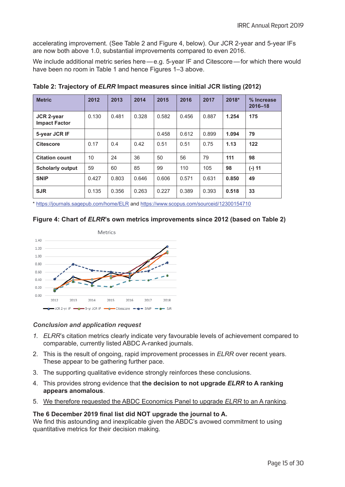accelerating improvement. (See Table 2 and Figure 4, below). Our JCR 2-year and 5-year IFs are now both above 1.0, substantial improvements compared to even 2016.

We include additional metric series here—e.g. 5-year IF and Citescore—for which there would have been no room in Table 1 and hence Figures 1–3 above.

| <b>Metric</b>                      | 2012  | 2013  | 2014  | 2015  | 2016  | 2017  | 2018* | % Increase<br>$2016 - 18$ |
|------------------------------------|-------|-------|-------|-------|-------|-------|-------|---------------------------|
| JCR 2-year<br><b>Impact Factor</b> | 0.130 | 0.481 | 0.328 | 0.582 | 0.456 | 0.887 | 1.254 | 175                       |
| 5-year JCR IF                      |       |       |       | 0.458 | 0.612 | 0.899 | 1.094 | 79                        |
| <b>Citescore</b>                   | 0.17  | 0.4   | 0.42  | 0.51  | 0.51  | 0.75  | 1.13  | 122                       |
| <b>Citation count</b>              | 10    | 24    | 36    | 50    | 56    | 79    | 111   | 98                        |
| <b>Scholarly output</b>            | 59    | 60    | 85    | 99    | 110   | 105   | 98    | $(-) 11$                  |
| <b>SNIP</b>                        | 0.427 | 0.803 | 0.646 | 0.606 | 0.571 | 0.631 | 0.850 | 49                        |
| <b>SJR</b>                         | 0.135 | 0.356 | 0.263 | 0.227 | 0.389 | 0.393 | 0.518 | 33                        |

**Table 2: Trajectory of** *ELRR* **Impact measures since initial JCR listing (2012)**

\* <https://journals.sagepub.com/home/ELR> and <https://www.scopus.com/sourceid/12300154710>

# **Figure 4: Chart of** *ELRR***'s own metrics improvements since 2012 (based on Table 2)**



# *Conclusion and application request*

- *1. ELRR*'s citation metrics clearly indicate very favourable levels of achievement compared to comparable, currently listed ABDC A-ranked journals.
- 2. This is the result of ongoing, rapid improvement processes in *ELRR* over recent years. These appear to be gathering further pace.
- 3. The supporting qualitative evidence strongly reinforces these conclusions.
- 4. This provides strong evidence that **the decision to not upgrade** *ELRR* **to A ranking appears anomalous**.
- 5. We therefore requested the ABDC Economics Panel to upgrade *ELRR* to an A ranking.

# **The 6 December 2019 final list did NOT upgrade the journal to A.**

We find this astounding and inexplicable given the ABDC's avowed commitment to using quantitative metrics for their decision making.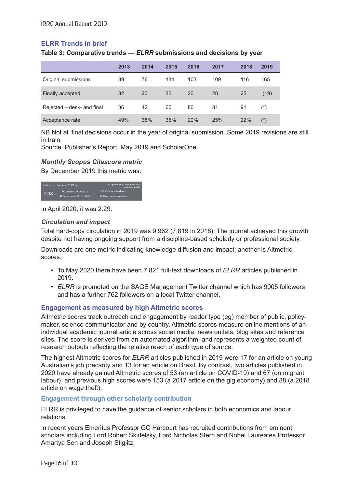# **ELRR Trends in brief**

**Table 3: Comparative trends —** *ELRR* **submissions and decisions by year**

|                            | 2013 | 2014 | 2015 | 2016 | 2017 | 2018 | 2019                    |
|----------------------------|------|------|------|------|------|------|-------------------------|
| Original submissions       | 89   | 76   | 134  | 103  | 109  | 116  | 165                     |
| Finally accepted           | 32   | 23   | 32   | 20   | 28   | 25   | (19)                    |
| Rejected - desk- and final | 36   | 42   | 60   | 80   | 81   | 91   | $(\dot{\phantom{a}}^*)$ |
| Acceptance rate            | 49%  | 35%  | 35%  | 20%  | 25%  | 22%  | $(*)$                   |

NB Not all final decisions occur in the year of original submission. Some 2019 revisions are still in train

Source: Publisher's Report, May 2019 and ScholarOne.

#### *Monthly Scopus Citescore metric*

By December 2019 this metric was:



In April 2020, it was 2.29.

# *Circulation and impact*

Total hard-copy circulation in 2019 was 9,962 (7,819 in 2018). The journal achieved this growth despite not having ongoing support from a discipline-based scholarly or professional society.

Downloads are one metric indicating knowledge diffusion and impact; another is Altmetric scores.

- To May 2020 there have been 7,821 full-text downloads of *ELRR* articles published in 2019.
- *• ELRR* is promoted on the SAGE Management Twitter channel which has 9005 followers and has a further 762 followers on a local Twitter channel.

# **Engagement as measured by high Altmetric scores**

Altmetric scores track outreach and engagement by reader type (eg) member of public, policymaker, science communicator and by country. Altmetric scores measure online mentions of an individual academic journal article across social media, news outlets, blog sites and reference sites. The score is derived from an automated algorithm, and represents a weighted count of research outputs reflecting the relative reach of each type of source.

The highest Altmetric scores for *ELRR* articles published in 2019 were 17 for an article on young Australian's job precarity and 13 for an article on Brexit. By contrast, two articles published in 2020 have already gained Altmetric scores of 53 (an article on COVID-19) and 67 (on migrant labour), and previous high scores were 153 (a 2017 article on the gig economy) and 88 (a 2018 article on wage theft).

#### **Engagement through other scholarly contribution**

ELRR is privileged to have the guidance of senior scholars in both economics and labour relations.

In recent years Emeritus Professor GC Harcourt has recruited contributions from eminent scholars including Lord Robert Skidelsky, Lord Nicholas Stern and Nobel Laureates Professor Amartya Sen and Joseph Stiglitz.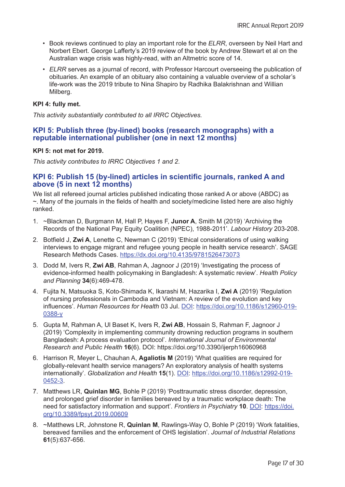- Book reviews continued to play an important role for the *ELRR*, overseen by Neil Hart and Norbert Ebert. George Lafferty's 2019 review of the book by Andrew Stewart et al on the Australian wage crisis was highly-read, with an Altmetric score of 14.
- *• ELRR* serves as a journal of record, with Professor Harcourt overseeing the publication of obituaries. An example of an obituary also containing a valuable overview of a scholar's life-work was the 2019 tribute to Nina Shapiro by Radhika Balakrishnan and Willian Milberg.

# **KPI 4: fully met.**

*This activity substantially contributed to all IRRC Objectives.*

# **KPI 5: Publish three (by-lined) books (research monographs) with a reputable international publisher (one in next 12 months)**

# **KPI 5: not met for 2019.**

*This activity contributes to IRRC Objectives 1 and 2*.

# **KPI 6: Publish 15 (by-lined) articles in scientific journals, ranked A and above (5 in next 12 months)**

We list all refereed journal articles published indicating those ranked A or above (ABDC) as ~. Many of the journals in the fields of health and society/medicine listed here are also highly ranked.

- 1. ~Blackman D, Burgmann M, Hall P, Hayes F, **Junor A**, Smith M (2019) 'Archiving the Records of the National Pay Equity Coalition (NPEC), 1988-2011'. *Labour History* 203-208.
- 2. Botfield J, **Zwi A**, Lenette C, Newman C (2019) 'Ethical considerations of using walking interviews to engage migrant and refugee young people in health service research'. SAGE Research Methods Cases. <https://dx.doi.org/10.4135/9781526473073>
- 3. Dodd M, Ivers R, **Zwi AB**, Rahman A, Jagnoor J (2019) 'Investigating the process of evidence-informed health policymaking in Bangladesh: A systematic review'. *Health Policy and Planning* **34**(6):469-478.
- 4. Fujita N, Matsuoka S, Koto-Shimada K, Ikarashi M, Hazarika I, **Zwi A** (2019) 'Regulation of nursing professionals in Cambodia and Vietnam: A review of the evolution and key influences'. *Human Resources for Health* 03 Jul. [DOI](http://doi.org/10.1186/s12960-019-0388-y): [https://doi.org/10.1186/s12960-019-](https://doi.org/10.1186/s12960-019-0388-y) [0388-y](https://doi.org/10.1186/s12960-019-0388-y)
- 5. Gupta M, Rahman A, Ul Baset K, Ivers R, **Zwi AB**, Hossain S, Rahman F, Jagnoor J (2019) 'Complexity in implementing community drowning reduction programs in southern Bangladesh: A process evaluation protocol'. *International Journal of Environmental Research and Public Health* **16**(6). DOI: https://doi.org/10.3390/ijerph16060968
- 6. Harrison R, Meyer L, Chauhan A, **Agaliotis M** (2019) 'What qualities are required for globally-relevant health service managers? An exploratory analysis of health systems internationally'. *Globalization and Health* **15**(1). [DOI](http://doi.org/10.1186/s12992-019-0452-3): [https://doi.org/10.1186/s12992-019-](https://doi.org/10.1186/s12992-019-0452-3) [0452-3](https://doi.org/10.1186/s12992-019-0452-3).
- 7. Matthews LR, **Quinlan MG**, Bohle P (2019) 'Posttraumatic stress disorder, depression, and prolonged grief disorder in families bereaved by a traumatic workplace death: The need for satisfactory information and support'. *Frontiers in Psychiatry* **10**. [DO](http://doi.org/10.3389/fpsyt.2019.00609)I: [https://doi.](https://doi.org/10.3389/fpsyt.2019.00609) [org/10.3389/fpsyt.2019.00609](https://doi.org/10.3389/fpsyt.2019.00609)
- 8. ~Matthews LR, Johnstone R, **Quinlan M**, Rawlings-Way O, Bohle P (2019) 'Work fatalities, bereaved families and the enforcement of OHS legislation'. *Journal of Industrial Relations* **61**(5):637-656.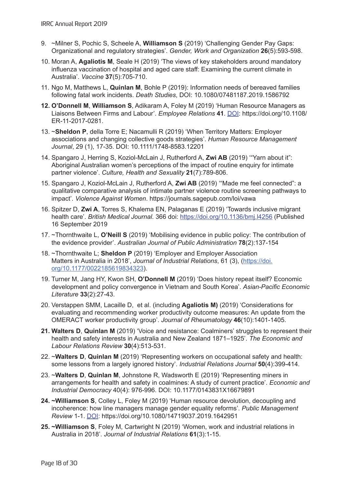- 9. ~Milner S, Pochic S, Scheele A, **Williamson S** (2019) 'Challenging Gender Pay Gaps: Organizational and regulatory strategies'. *Gender, Work and Organization* **26**(5):593-598.
- 10. Moran A, **Agaliotis M**, Seale H (2019) 'The views of key stakeholders around mandatory influenza vaccination of hospital and aged care staff: Examining the current climate in Australia'. *Vaccine* **37**(5):705-710.
- 11. Ngo M, Matthews L, **Quinlan M**, Bohle P (2019): Information needs of bereaved families following fatal work incidents. *Death Studies*, DOI: 10.1080/07481187.2019.1586792
- **12. O'Donnell M**, **Williamson S**, Adikaram A, Foley M (2019) 'Human Resource Managers as Liaisons Between Firms and Labour'. *Employee Relations* **41**. [DOI](http://doi.org/10.1108/ER-11-2017-0281): https://doi.org/10.1108/ ER-11-2017-0281.
- 13. ~**Sheldon P**, della Torre E; Nacamulli R (2019) 'When Territory Matters: Employer associations and changing collective goods strategies'. *Human Resource Management Journal*, 29 (1), 17-35. DOI: 10.1111/1748-8583.12201
- 14. Spangaro J, Herring S, Koziol-McLain J, Rutherford A, **Zwi AB** (2019) '"Yarn about it": Aboriginal Australian women's perceptions of the impact of routine enquiry for intimate partner violence'. *Culture, Health and Sexuality* **21**(7):789-806.
- 15. Spangaro J, Koziol-McLain J, Rutherford A, **Zwi AB** (2019) '"Made me feel connected": a qualitative comparative analysis of intimate partner violence routine screening pathways to impact'. *Violence Against Women*. https://journals.sagepub.com/loi/vawa
- 16. Spitzer D, **Zwi A**, Torres S, Khalema EN, Palaganas E (2019) 'Towards inclusive migrant health care'. *British Medical Journal*. 366 doi: <https://doi.org/10.1136/bmj.l4256> (Published 16 September 2019
- 17. ~Thornthwaite L, **O'Neill S** (2019) 'Mobilising evidence in public policy: The contribution of the evidence provider'. *Australian Journal of Public Administration* **78**(2):137-154
- 18. ~Thornthwaite L; **Sheldon P** (2019) 'Employer and Employer Association Matters in Australia in 2018', *Journal of Industrial Relations*, 61 (3), ([https://doi.](https://doi.org/10.1177%2F0022185619834323) [org/10.1177/0022185619834323](https://doi.org/10.1177%2F0022185619834323)).
- 19. Turner M, Jang HY, Kwon SH, **O'Donnell M** (2019) 'Does history repeat itself? Economic development and policy convergence in Vietnam and South Korea'. *Asian-Pacific Economic Literature* **33**(2):27-43.
- 20. Verstappen SMM, Lacaille D, [et al.](https://ros.unsw.edu.au/search.html?us=10573%2C17015%2C17111%2C17173%2C17607%2C17812%2C18748%2C18836%2C18893%2C18956%2C18976%2C19015%2C19084%2C19110%2C20003%2C21152%2C21701%2C21780%2C21846%2C22330%2C6657%2C6745%2C68273%2C7261%2C7289%2C79209&ss=%2A&fd=01 Jan 2019&td=31 Dec 2019&sc=1&sr=object&mo=false&pp=100) (including **Agaliotis M)** (2019) 'Considerations for evaluating and recommending worker productivity outcome measures: An update from the OMERACT worker productivity group'. *Journal of Rheumatology* **46**(10):1401-1405.
- **21. Walters D**, **Quinlan M** (2019) 'Voice and resistance: Coalminers' struggles to represent their health and safety interests in Australia and New Zealand 1871–1925'. *The Economic and Labour Relations Review* **30**(4):513-531.
- 22. ~**Walters D**, **Quinlan M** (2019) 'Representing workers on occupational safety and health: some lessons from a largely ignored history'. *Industrial Relations Journal* **50**(4):399-414.
- 23. ~**Walters D**, **Quinlan M**, Johnstone R, Wadsworth E (2019) 'Representing miners in arrangements for health and safety in coalmines: A study of current practice'. *Economic and Industrial Democracy* 40(4): 976-996. DOI: 10.1177/0143831X16679891
- **24. ~Williamson S**, Colley L, Foley M (2019) 'Human resource devolution, decoupling and incoherence: how line managers manage gender equality reforms'. *Public Management Review* 1-1. [DOI:](http://doi.org/10.1080/14719037.2019.1642951) https://doi.org/10.1080/14719037.2019.1642951
- **25. ~Williamson S**, Foley M, Cartwright N (2019) 'Women, work and industrial relations in Australia in 2018'. *Journal of Industrial Relations* **61**(3):1-15.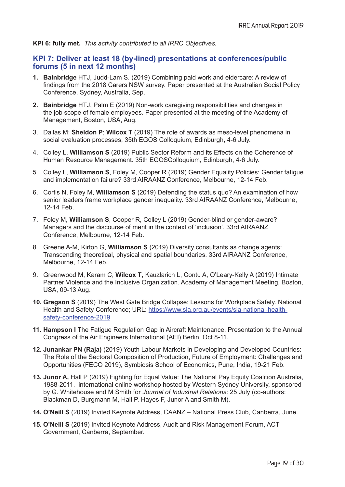**KPI 6: fully met.** *This activity contributed to all IRRC Objectives.*

# **KPI 7: Deliver at least 18 (by-lined) presentations at conferences/public forums (5 in next 12 months)**

- **1. Bainbridge** HTJ, Judd-Lam S. (2019) Combining paid work and eldercare: A review of findings from the 2018 Carers NSW survey. Paper presented at the Australian Social Policy Conference, Sydney, Australia, Sep.
- **2. Bainbridge** HTJ, Palm E (2019) Non-work caregiving responsibilities and changes in the job scope of female employees. Paper presented at the meeting of the Academy of Management, Boston, USA, Aug.
- 3. Dallas M; **Sheldon P**; **Wilcox T** (2019) The role of awards as meso-level phenomena in social evaluation processes, 35th EGOS Colloquium, Edinburgh, 4-6 July.
- 4. Colley L, **Williamson S** (2019) Public Sector Reform and its Effects on the Coherence of Human Resource Management. 35th EGOSColloquium, Edinburgh, 4-6 July.
- 5. Colley L, **Williamson S**, Foley M, Cooper R (2019) Gender Equality Policies: Gender fatigue and implementation failure? 33rd AIRAANZ Conference, Melbourne, 12-14 Feb.
- 6. Cortis N, Foley M, **Williamson S** (2019) Defending the status quo? An examination of how senior leaders frame workplace gender inequality. 33rd AIRAANZ Conference, Melbourne, 12-14 Feb.
- 7. Foley M, **Williamson S**, Cooper R, Colley L (2019) Gender-blind or gender-aware? Managers and the discourse of merit in the context of 'inclusion'. 33rd AIRAANZ Conference, Melbourne, 12-14 Feb.
- 8. Greene A-M, Kirton G, **Williamson S** (2019) Diversity consultants as change agents: Transcending theoretical, physical and spatial boundaries. 33rd AIRAANZ Conference, Melbourne, 12-14 Feb.
- 9. Greenwood M, Karam C, **Wilcox T**, Kauzlarich L, Contu A, O'Leary-Kelly A (2019) Intimate Partner Violence and the Inclusive Organization. Academy of Management Meeting, Boston, USA, 09-13 Aug.
- **10. Gregson S** (2019) [The West Gate Bridge Collapse: Lessons for Workplace Safety.](https://ros.unsw.edu.au/viewobject.html?id=1450110&cid=3) National Health and Safety Conference; URL: [https://www.sia.org.au/events/sia-national-health](https://www.sia.org.au/events/sia-national-health-safety-conference-2019)[safety-conference-2019](https://www.sia.org.au/events/sia-national-health-safety-conference-2019)
- **11. Hampson I** The Fatigue Regulation Gap in Aircraft Maintenance, Presentation to the Annual Congress of the Air Engineers International (AEI) Berlin, Oct 8-11.
- **12. Junankar PN (Raja)** (2019) Youth Labour Markets in Developing and Developed Countries: The Role of the Sectoral Composition of Production, Future of Employment: Challenges and Opportunities (FECO 2019), Symbiosis School of Economics, Pune, India, 19-21 Feb.
- **13. Junor A,** Hall P (2019) Fighting for Equal Value: The National Pay Equity Coalition Australia, 1988-2011, international online workshop hosted by Western Sydney University, sponsored by G. Whitehouse and M Smith for *Journal of Industrial Relations*: 25 July (co-authors: Blackman D, Burgmann M, Hall P, Hayes F, Junor A and Smith M).
- **14. O'Neill S** (2019) Invited Keynote Address, CAANZ National Press Club, Canberra, June.
- **15. O'Neill S** (2019) Invited Keynote Address, Audit and Risk Management Forum, ACT Government, Canberra, September.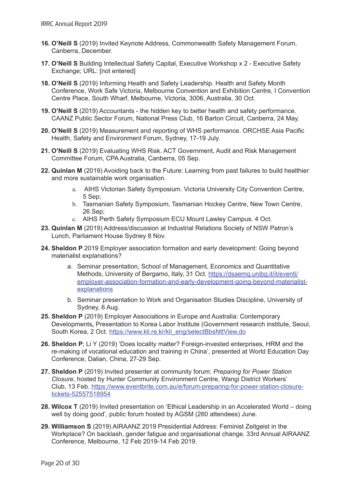- **16. O'Neill S** (2019) Invited Keynote Address, Commonwealth Safety Management Forum, Canberra, December.
- **17. O'Neill S** [Building Intellectual Safety Capital](https://ros.unsw.edu.au/viewobject.html?id=1488937&cid=3), Executive Workshop x 2 Executive Safety Exchange; URL: [not entered]
- **18. O'Neill S** (2019) Informing Health and Safety Leadership. Health and Safety Month Conference, Work Safe Victoria, Melbourne Convention and Exhibition Centre, I Convention Centre Place, South Wharf, Melbourne, Victoria, 3006, Australia, 30 Oct.
- **19. O'Neill S** (2019) Accountants the hidden key to better health and safety performance. CAANZ Public Sector Forum, National Press Club, 16 Barton Circuit, Canberra, 24 May.
- **20. O'Neill S** (2019) Measurement and reporting of WHS performance. ORCHSE Asia Pacific Health, Safety and Environment Forum, Sydney, 17-19 July.
- **21. O'Neill S** (2019) Evaluating WHS Risk. ACT Government, Audit and Risk Management Committee Forum, CPA Australia, Canberra, 05 Sep.
- **22. Quinlan M** (2019) Avoiding back to the Future: Learning from past failures to build healthier and more sustainable work organisation.
	- a. AIHS Victorian Safety Symposium. Victoria University City Convention Centre, 5 Sep;
	- b. Tasmanian Safety Symposium, Tasmanian Hockey Centre, New Town Centre, 26 Sep;
	- c. AIHS Perth Safety Symposium ECU Mount Lawley Campus. 4 Oct.
- **23. Quinlan M** (2019) Address/discussion at Industrial Relations Society of NSW Patron's Lunch, Parliament House Sydney 8 Nov.
- **24. Sheldon P** 2019 Employer association formation and early development: Going beyond materialist explanations?
	- a. Seminar presentation, School of Management, Economics and Quantitative Methods, University of Bergamo, Italy, 31 Oct. [https://dsaemq.unibg.it/it/eventi/](https://dsaemq.unibg.it/it/eventi/employer-association-formation-and-early-development-going-beyond-materialist-explanations) [employer-association-formation-and-early-development-going-beyond-materialist](https://dsaemq.unibg.it/it/eventi/employer-association-formation-and-early-development-going-beyond-materialist-explanations)[explanations](https://dsaemq.unibg.it/it/eventi/employer-association-formation-and-early-development-going-beyond-materialist-explanations)
	- b. Seminar presentation to Work and Organisation Studies Discipline, University of Sydney, 6 Aug.
- **25. Sheldon P** (2019) Employer Associations in Europe and Australia: Contemporary Developments**,** Presentation to Korea Labor Institute (Government research institute, Seoul, South Korea, 2 Oct. [https://www.kli.re.kr/kli\\_eng/selectBbsNttView.do](https://www.kli.re.kr/kli_eng/selectBbsNttView.do)
- **26. Sheldon P**; Li Y (2019) 'Does locality matter? Foreign-invested enterprises, HRM and the re-making of vocational education and training in China', presented at World Education Day Conference, Dalian, China, 27-29 Sep.
- **27. Sheldon P** (2019) Invited presenter at community forum: *Preparing for Power Station Closure*, hosted by Hunter Community Environment Centre, Wangi District Workers' Club, 13 Feb. [https://www.eventbrite.com.au/e/forum-preparing-for-power-station-closure](https://www.eventbrite.com.au/e/forum-preparing-for-power-station-closure-tickets-52557518954)[tickets-52557518954](https://www.eventbrite.com.au/e/forum-preparing-for-power-station-closure-tickets-52557518954)
- **28. Wilcox T** (2019) Invited presentation on 'Ethical Leadership in an Accelerated World doing well by doing good', public forum hosted by AGSM (260 attendees) June.
- **29. Williamson S** (2019) AIRAANZ 2019 Presidential Address: Feminist Zeitgeist in the Workplace? On backlash, gender fatigue and organisational change. 33rd Annual AIRAANZ Conference, Melbourne, 12 Feb 2019-14 Feb 2019.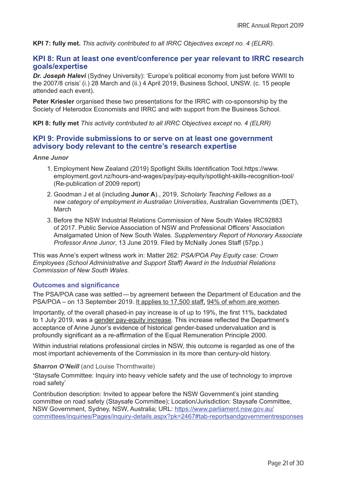**KPI 7: fully met.** *This activity contributed to all IRRC Objectives except no. 4 (ELRR).*

# **KPI 8: Run at least one event/conference per year relevant to IRRC research goals/expertise**

*Dr. Joseph Halevi* (Sydney University): 'Europe's political economy from just before WWII to the 2007/8 crisis' (i.) 28 March and (ii.) 4 April 2019, Business School, UNSW. (c. 15 people attended each event).

**Peter Kriesler** organised these two presentations for the IRRC with co-sponsorship by the Society of Heterodox Economists and IRRC and with support from the Business School.

**KPI 8: fully met** *This activity contributed to all IRRC Objectives except no. 4 (ELRR)*

# **KPI 9: Provide submissions to or serve on at least one government advisory body relevant to the centre's research expertise**

#### *Anne Junor*

- 1. Employment New Zealand (2019) Spotlight Skills Identification Tool.https://www. employment.govt.nz/hours-and-wages/pay/pay-equity/spotlight-skills-recognition-tool/ (Re-publication of 2009 report)
- 2. Goodman J et al (including **Junor A**)., 2019, *Scholarly Teaching Fellows as a new category of employment in Australian Universities*, Australian Governments (DET), March
- 3. Before the NSW Industrial Relations Commission of New South Wales IRC92883 of 2017. Public Service Association of NSW and Professional Officers' Association Amalgamated Union of New South Wales. *Supplementary Report of Honorary Associate Professor Anne Junor*, 13 June 2019. Filed by McNally Jones Staff (57pp.)

This was Anne's expert witness work in: Matter 262: *PSA/POA Pay Equity case: Crown Employees (School Administrative and Support Staff) Award in the Industrial Relations Commission of New South Wales.*

# **Outcomes and significance**

The PSA/POA case was settled—by agreement between the Department of Education and the PSA/POA – on 13 September 2019. It applies to 17,500 staff, 94% of whom are women.

Importantly, of the overall phased-in pay increase is of up to 19%, the first 11%, backdated to 1 July 2019, was a gender pay-equity increase. This increase reflected the Department's acceptance of Anne Junor's evidence of historical gender-based undervaluation and is profoundly significant as a re-affirmation of the Equal Remuneration Principle 2000.

Within industrial relations professional circles in NSW, this outcome is regarded as one of the most important achievements of the Commission in its more than century-old history.

#### **Sharron O'Neill** (and Louise Thornthwaite)

**'**[Staysafe Committee: Inquiry into heavy vehicle safety and the use of technology to improve](https://ros.unsw.edu.au/viewobject.html?id=1384149&cid=3)  [road safety](https://ros.unsw.edu.au/viewobject.html?id=1384149&cid=3)'

Contribution description: Invited to appear before the NSW Government's joint standing committee on road safety (Staysafe Committee); Location/Jurisdiction: Staysafe Committee, NSW Government, Sydney, NSW, Australia; URL: [https://www.parliament.nsw.gov.au/](https://www.parliament.nsw.gov.au/committees/inquiries/Pages/inquiry-details.aspx?pk=2467#tab-reportsandgovernmentresponses) [committees/inquiries/Pages/inquiry-details.aspx?pk=2467#tab-reportsandgovernmentresponses](https://www.parliament.nsw.gov.au/committees/inquiries/Pages/inquiry-details.aspx?pk=2467#tab-reportsandgovernmentresponses)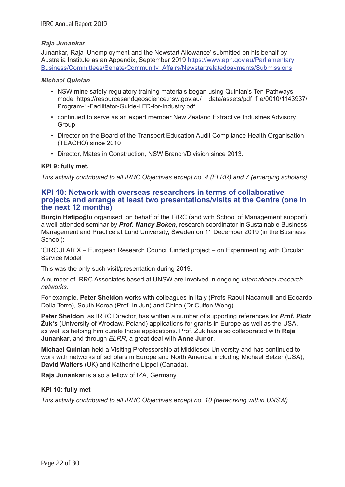#### *Raja Junankar*

Junankar, Raja 'Unemployment and the Newstart Allowance' submitted on his behalf by Australia Institute as an Appendix, September 2019 [https://www.aph.gov.au/Parliamentary\\_](https://www.aph.gov.au/Parliamentary_Business/Committees/Senate/Community_Affairs/Newstartrelatedpayments/Submissions) [Business/Committees/Senate/Community\\_Affairs/Newstartrelatedpayments/Submissions](https://www.aph.gov.au/Parliamentary_Business/Committees/Senate/Community_Affairs/Newstartrelatedpayments/Submissions)

#### *Michael Quinlan*

- NSW mine safety regulatory training materials began using Quinlan's Ten Pathways model https://resourcesandgeoscience.nsw.gov.au/\_\_data/assets/pdf\_file/0010/1143937/ Program-1-Facilitator-Guide-LFD-for-Industry.pdf
- continued to serve as an expert member New Zealand Extractive Industries Advisory **Group**
- Director on the Board of the Transport Education Audit Compliance Health Organisation (TEACHO) since 2010
- Director, Mates in Construction, NSW Branch/Division since 2013.

# **KPI 9: fully met.**

*This activity contributed to all IRRC Objectives except no. 4 (ELRR) and 7 (emerging scholars)*

# **KPI 10: Network with overseas researchers in terms of collaborative projects and arrange at least two presentations/visits at the Centre (one in the next 12 months)**

**Burçin Hatipoğlu** organised, on behalf of the IRRC (and with School of Management support) a well-attended seminar by *Prof. Nancy Boken,* research coordinator in Sustainable Business Management and Practice at Lund University, Sweden on 11 December 2019 (in the Business School):

'CIRCULAR X – European Research Council funded project – on Experimenting with Circular Service Model'

This was the only such visit/presentation during 2019.

A number of IRRC Associates based at UNSW are involved in ongoing *international research networks.*

For example, **Peter Sheldon** works with colleagues in Italy (Profs Raoul Nacamulli and Edoardo Della Torre), South Korea (Prof. In Jun) and China (Dr Cuifen Weng).

**Peter Sheldon**, as IRRC Director, has written a number of supporting references for *Prof. Piotr*  **Żuk***'s* (University of Wroclaw, Poland) applications for grants in Europe as well as the USA, as well as helping him curate those applications. Prof. Żuk has also collaborated with **Raja Junankar**, and through *ELRR*, a great deal with **Anne Junor**.

**Michael Quinlan** held a Visiting Professorship at Middlesex University and has continued to work with networks of scholars in Europe and North America, including Michael Belzer (USA), **David Walters** (UK) and Katherine Lippel (Canada).

**Raja Junankar** is also a fellow of IZA, Germany.

# **KPI 10: fully met**

*This activity contributed to all IRRC Objectives except no. 10 (networking within UNSW)*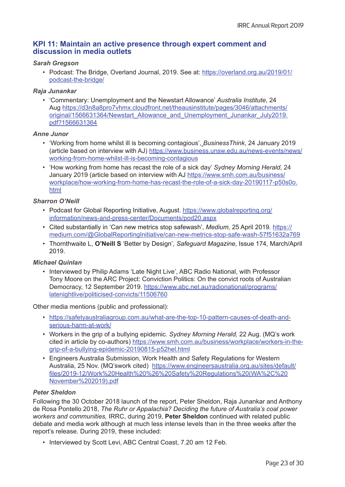# **KPI 11: Maintain an active presence through expert comment and discussion in media outlets**

# *Sarah Gregson*

• Podcast: The Bridge, Overland Journal, 2019. See at: [https://overland.org.au/2019/01/](https://overland.org.au/2019/01/podcast-the-bridge/) [podcast-the-bridge](https://overland.org.au/2019/01/podcast-the-bridge/)/

#### *Raja Junankar*

• 'Commentary: Unemployment and the Newstart Allowance' *Australia Institute*, 24 Aug [https://d3n8a8pro7vhmx.cloudfront.net/theausinstitute/pages/3046/attachments/](https://d3n8a8pro7vhmx.cloudfront.net/theausinstitute/pages/3046/attachments/original/1566631364/Newstart_Allowance_and_Unemployment_Junankar_July2019.pdf?1566631364) [original/1566631364/Newstart\\_Allowance\\_and\\_Unemployment\\_Junankar\\_July2019.](https://d3n8a8pro7vhmx.cloudfront.net/theausinstitute/pages/3046/attachments/original/1566631364/Newstart_Allowance_and_Unemployment_Junankar_July2019.pdf?1566631364) [pdf?1566631364](https://d3n8a8pro7vhmx.cloudfront.net/theausinstitute/pages/3046/attachments/original/1566631364/Newstart_Allowance_and_Unemployment_Junankar_July2019.pdf?1566631364)

#### *Anne Junor*

- 'Working from home whilst ill is becoming contagious', *BusinessThink*, 24 January 2019 (article based on interview with AJ) [https://www.business.unsw.edu.au/news-events/news/](https://www.business.unsw.edu.au/news-events/news/working-from-home-whilst-ill-is-becoming-contagious) [working-from-home-whilst-ill-is-becoming-contagious](https://www.business.unsw.edu.au/news-events/news/working-from-home-whilst-ill-is-becoming-contagious)
- 'How working from home has recast the role of a sick day' *Sydney Morning Herald,* 24 January 2019 (article based on interview with AJ [https://www.smh.com.au/business/](https://www.smh.com.au/business/workplace/how-working-from-home-has-recast-the-role-of-a-sick-day-20190117-p50s0o.html) [workplace/how-working-from-home-has-recast-the-role-of-a-sick-day-20190117-p50s0o.](https://www.smh.com.au/business/workplace/how-working-from-home-has-recast-the-role-of-a-sick-day-20190117-p50s0o.html) [html](https://www.smh.com.au/business/workplace/how-working-from-home-has-recast-the-role-of-a-sick-day-20190117-p50s0o.html)

# *Sharron O'Neill*

- Podcast for Global Reporting Initiative, August. [https://www.globalreporting.org/](https://www.globalreporting.org/information/news-and-press-center/Documents/pod20.aspx) [information/news-and-press-center/Documents/pod20.aspx](https://www.globalreporting.org/information/news-and-press-center/Documents/pod20.aspx)
- Cited substantially in 'Can new metrics stop safewash', *Medium*, 25 April 2019. [https://](https://medium.com/@GlobalReportingInitiative/can-new-metrics-stop-safe-wash-57f51632a769) [medium.com/@GlobalReportingInitiative/can-new-metrics-stop-safe-wash-57f51632a769](https://medium.com/@GlobalReportingInitiative/can-new-metrics-stop-safe-wash-57f51632a769)
- Thornthwaite L, **O'Neill S** 'Better by Design', *Safeguard Magazine*, Issue 174, March/April 2019.

# *Michael Quinlan*

• Interviewed by Philip Adams 'Late Night Live', ABC Radio National, with Professor Tony Moore on the ARC Project: Conviction Politics: On the convict roots of Australian Democracy, 12 September 2019. [https://www.abc.net.au/radionational/programs/](https://www.abc.net.au/radionational/programs/latenightlive/politicised-convicts/11506760) [latenightlive/politicised-convicts/11506760](https://www.abc.net.au/radionational/programs/latenightlive/politicised-convicts/11506760)

Other media mentions (public and professional):

- [https://safetyaustraliagroup.com.au/what-are-the-top-10-pattern-causes-of-death-and](https://safetyaustraliagroup.com.au/what-are-the-top-10-pattern-causes-of-death-and-serious-harm-at-work/)[serious-harm-at-work/](https://safetyaustraliagroup.com.au/what-are-the-top-10-pattern-causes-of-death-and-serious-harm-at-work/)
- Workers in the grip of a bullying epidemic. *Sydney Morning Herald,* 22 Aug. (MQ's work cited in article by co-authors) [https://www.smh.com.au/business/workplace/workers-in-the](https://www.smh.com.au/business/workplace/workers-in-the-grip-of-a-bullying-epidemic-20190815-p52hel.html)[grip-of-a-bullying-epidemic-20190815-p52hel.html](https://www.smh.com.au/business/workplace/workers-in-the-grip-of-a-bullying-epidemic-20190815-p52hel.html)
- Engineers Australia Submission, Work Health and Safety Regulations for Western Australia, 25 Nov. (MQ'swork cited) [https://www.engineersaustralia.org.au/sites/default/](https://www.engineersaustralia.org.au/sites/default/files/2019-12/Work Health %26 Safety Regulations (WA%2C November 2019).pdf) [files/2019-12/Work%20Health%20%26%20Safety%20Regulations%20\(WA%2C%20](https://www.engineersaustralia.org.au/sites/default/files/2019-12/Work Health %26 Safety Regulations (WA%2C November 2019).pdf) [November%202019\).pdf](https://www.engineersaustralia.org.au/sites/default/files/2019-12/Work Health %26 Safety Regulations (WA%2C November 2019).pdf)

# *Peter Sheldon*

Following the 30 October 2018 launch of the report, Peter Sheldon, Raja Junankar and Anthony de Rosa Pontello 2018, *The Ruhr or Appalachia? Deciding the future of Australia's coal power workers and communities,* IRRC, during 2019, **Peter Sheldon** continued with related public debate and media work although at much less intense levels than in the three weeks after the report's release. During 2019, these included:

• Interviewed by Scott Levi, ABC Central Coast, 7.20 am 12 Feb.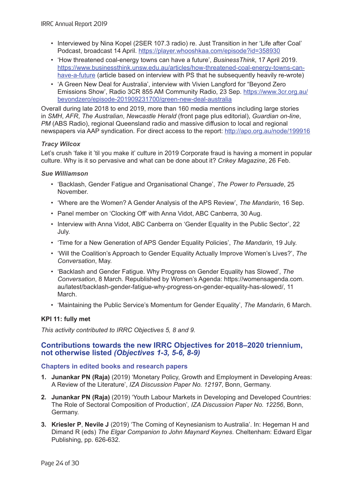- Interviewed by Nina Kopel (2SER 107.3 radio) re. Just Transition in her 'Life after Coal' Podcast, broadcast 14 April. <https://player.whooshkaa.com/episode?id=358930>
- 'How threatened coal-energy towns can have a future', *BusinessThink*, 17 April 2019. [https://www.businessthink.unsw.edu.au/articles/how-threatened-coal-energy-towns-can](https://www.businessthink.unsw.edu.au/articles/how-threatened-coal-energy-towns-can-have-a-future)[have-a-future](https://www.businessthink.unsw.edu.au/articles/how-threatened-coal-energy-towns-can-have-a-future) (article based on interview with PS that he subsequently heavily re-wrote)
- 'A Green New Deal for Australia', interview with Vivien Langford for "Beyond Zero Emissions Show', Radio 3CR 855 AM Community Radio, 23 Sep. [https://www.3cr.org.au/](https://www.3cr.org.au/beyondzero/episode-201909231700/green-new-deal-australia) [beyondzero/episode-201909231700/green-new-deal-australia](https://www.3cr.org.au/beyondzero/episode-201909231700/green-new-deal-australia)

Overall during late 2018 to end 2019, more than 160 media mentions including large stories in *SMH*, *AFR*, *The Australian*, *Newcastle Herald* (front page plus editorial), *Guardian on-line*, *PM* (ABS Radio), regional Queensland radio and massive diffusion to local and regional newspapers via AAP syndication. For direct access to the report: <http://apo.org.au/node/199916>

# *Tracy Wilcox*

Let's crush 'fake it 'til you make it' culture in 2019 Corporate fraud is having a moment in popular culture. Why is it so pervasive and what can be done about it? *Crikey Magazine*, 26 Feb.

# *Sue Williamson*

- 'Backlash, Gender Fatigue and Organisational Change', *The Power to Persuade*, 25 November.
- 'Where are the Women? A Gender Analysis of the APS Review', *The Mandarin*, 16 Sep.
- Panel member on 'Clocking Off' with Anna Vidot, ABC Canberra, 30 Aug.
- Interview with Anna Vidot, ABC Canberra on 'Gender Equality in the Public Sector', 22 July.
- 'Time for a New Generation of APS Gender Equality Policies', *The Mandarin*, 19 July.
- 'Will the Coalition's Approach to Gender Equality Actually Improve Women's Lives?', *The Conversation*, May.
- 'Backlash and Gender Fatigue. Why Progress on Gender Equality has Slowed', *The Conversation*, 8 March. Republished by Women's Agenda: https://womensagenda.com. au/latest/backlash-gender-fatigue-why-progress-on-gender-equality-has-slowed/, 11 March.
- 'Maintaining the Public Service's Momentum for Gender Equality', *The Mandarin*, 6 March.

# **KPI 11: fully met**

*This activity contributed to IRRC Objectives 5, 8 and 9.*

# **Contributions towards the new IRRC Objectives for 2018–2020 triennium, not otherwise listed** *(Objectives 1-3, 5-6, 8-9)*

# **Chapters in edited books and research papers**

- **1. Junankar PN (Raja)** (2019) 'Monetary Policy, Growth and Employment in Developing Areas: A Review of the Literature', *IZA Discussion Paper No. 12197*, Bonn, Germany.
- **2. Junankar PN (Raja)** (2019) 'Youth Labour Markets in Developing and Developed Countries: The Role of Sectoral Composition of Production'*, IZA Discussion Paper No. 12256*, Bonn, Germany.
- **3. Kriesler P**, **Nevile J** (2019) 'The Coming of Keynesianism to Australia'. In: Hegeman H and Dimand R (eds) *The Elgar Companion to John Maynard Keynes*. Cheltenham: Edward Elgar Publishing, pp. 626-632.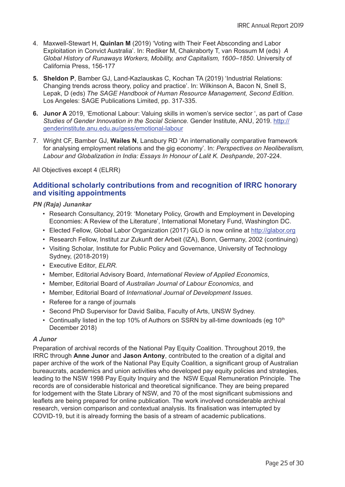- 4. Maxwell-Stewart H, **Quinlan M** (2019) 'Voting with Their Feet Absconding and Labor Exploitation in Convict Australia'. In: Rediker M, Chakraborty T, van Rossum M (eds) *A Global History of Runaways Workers, Mobility, and Capitalism, 1600–1850*. University of California Press, 156-177
- **5. Sheldon P**, Bamber GJ, Land-Kazlauskas C, Kochan TA (2019) 'Industrial Relations: Changing trends across theory, policy and practice'. In: Wilkinson A, Bacon N, Snell S, Lepak, D (eds) *The SAGE Handbook of Human Resource Management, Second Edition*. Los Angeles: SAGE Publications Limited, pp. 317-335.
- **6. Junor A** 2019, 'Emotional Labour: Valuing skills in women's service sector ', as part of *Case Studies of Gender Innovation in the Social Science.* Gender Institute, ANU, 2019. [http://](http://genderinstitute.anu.edu.au/gess/emotional-labour) [genderinstitute.anu.edu.au/gess/emotional-labour](http://genderinstitute.anu.edu.au/gess/emotional-labour)
- 7. Wright CF, Bamber GJ, **Wailes N**, Lansbury RD 'An internationally comparative framework for analysing employment relations and the gig economy'. In: *Perspectives on Neoliberalism, Labour and Globalization in India: Essays In Honour of Lalit K. Deshpande*, 207-224.

All Objectives except 4 (ELRR)

# **Additional scholarly contributions from and recognition of IRRC honorary and visiting appointments**

*PN (Raja) Junankar*

- Research Consultancy, 2019: 'Monetary Policy, Growth and Employment in Developing Economies: A Review of the Literature', International Monetary Fund, Washington DC.
- Elected Fellow, Global Labor Organization (2017) GLO is now online at [http://glabor.org](http://glabor.org/)
- Research Fellow, Institut zur Zukunft der Arbeit (IZA), Bonn, Germany, 2002 (continuing)
- Visiting Scholar, Institute for Public Policy and Governance, University of Technology Sydney, (2018-2019)
- Executive Editor, *ELRR.*
- Member, Editorial Advisory Board, *International Review of Applied Economics*,
- Member, Editorial Board of *Australian Journal of Labour Economics*, and
- Member, Editorial Board of *International Journal of Development Issues*.
- Referee for a range of journals
- Second PhD Supervisor for David Saliba, Faculty of Arts, UNSW Sydney.
- Continually listed in the top 10% of Authors on SSRN by all-time downloads (eq  $10<sup>th</sup>$ December 2018)

# *A Junor*

Preparation of archival records of the National Pay Equity Coalition. Throughout 2019, the IRRC through **Anne Junor** and **Jason Antony**, contributed to the creation of a digital and paper archive of the work of the National Pay Equity Coalition, a significant group of Australian bureaucrats, academics and union activities who developed pay equity policies and strategies, leading to the NSW 1998 Pay Equity Inquiry and the NSW Equal Remuneration Principle. The records are of considerable historical and theoretical significance. They are being prepared for lodgement with the State Library of NSW, and 70 of the most significant submissions and leaflets are being prepared for online publication. The work involved considerable archival research, version comparison and contextual analysis. Its finalisation was interrupted by COVID-19, but it is already forming the basis of a stream of academic publications.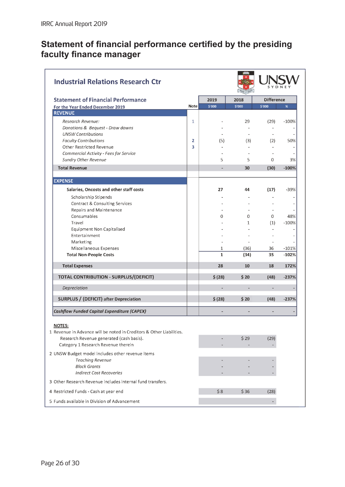# <span id="page-29-0"></span>**Statement of financial performance certified by the presiding faculty finance manager**

| <b>Industrial Relations Research Ctr</b>                              |              |              |                          |                   |         |
|-----------------------------------------------------------------------|--------------|--------------|--------------------------|-------------------|---------|
| <b>Statement of Financial Performance</b>                             |              | 2019         | 2018                     | <b>Difference</b> |         |
| For the Year Ended December 2019                                      | <b>Note</b>  | \$'000       | \$'000                   | \$'000            | %       |
| <b>REVENUE</b>                                                        |              |              |                          |                   |         |
| Research Revenue:                                                     | $\mathbf{1}$ |              | 29                       | (29)              | $-100%$ |
| Donations & Bequest - Draw downs                                      |              |              |                          |                   |         |
| <b>UNSW Contributions</b>                                             |              |              | $\overline{\phantom{a}}$ |                   |         |
| <b>Faculty Contributions</b>                                          | 2            | (5)          | (3)                      | (2)               | 50%     |
| <b>Other Restricted Revenue</b>                                       | 3            |              |                          |                   |         |
| Commercial Activity - Fees for Service<br><b>Sundry Other Revenue</b> |              | 5            | 5                        | 0                 | 3%      |
|                                                                       |              |              |                          |                   |         |
| <b>Total Revenue</b>                                                  |              |              | 30                       | (30)              | $-100%$ |
| <b>EXPENSE</b>                                                        |              |              |                          |                   |         |
| Salaries, Oncosts and other staff costs                               |              | 27           | 44                       | (17)              | $-39%$  |
| Scholarship Stipends                                                  |              |              |                          |                   |         |
| Contract & Consulting Services                                        |              |              |                          |                   |         |
| Repairs and Maintenance                                               |              |              |                          |                   |         |
| Consumables                                                           |              | 0            | 0                        | 0                 | 48%     |
| Travel                                                                |              |              | $\mathbf{1}$             | (1)               | $-100%$ |
| <b>Equipment Non Capitalised</b>                                      |              |              |                          |                   |         |
| Entertainment                                                         |              |              |                          |                   |         |
| Marketing                                                             |              |              |                          |                   |         |
| Miscellaneous Expenses                                                |              | 1            | (36)                     | 36                | $-101%$ |
| <b>Total Non-People Costs</b>                                         |              | $\mathbf{1}$ | (34)                     | 35                | $-102%$ |
| <b>Total Expenses</b>                                                 |              | 28           | 10                       | 18                | 172%    |
| <b>TOTAL CONTRIBUTION - SURPLUS/(DEFICIT)</b>                         |              | \$ (28)      | \$20                     | (48)              | $-237%$ |
| Depreciation                                                          |              |              |                          |                   |         |
| <b>SURPLUS / (DEFICIT) after Depreciation</b>                         |              | \$ (28)      | \$20                     | (48)              | $-237%$ |
| <b>Cashflow Funded Capital Expenditure (CAPEX)</b>                    |              |              |                          |                   |         |
| <b>NOTES:</b>                                                         |              |              |                          |                   |         |
| 1 Revenue in Advance will be noted in Creditors & Other Liabilities.  |              |              |                          |                   |         |
| Research Revenue generated (cash basis).                              |              |              | \$29                     | (29)              |         |
| Category 1 Research Revenue therein                                   |              |              |                          |                   |         |
| 2 UNSW Budget model includes other revenue items                      |              |              |                          |                   |         |
| <b>Teaching Revenue</b>                                               |              |              |                          |                   |         |
| <b>Block Grants</b>                                                   |              |              |                          |                   |         |
| <b>Indirect Cost Recoveries</b>                                       |              |              |                          |                   |         |
| 3 Other Research Revenue includes internal fund transfers.            |              |              |                          |                   |         |
| 4 Restricted Funds - Cash at year end                                 |              | \$8          | \$36                     | (28)              |         |
| 5 Funds available in Division of Advancement                          |              |              |                          |                   |         |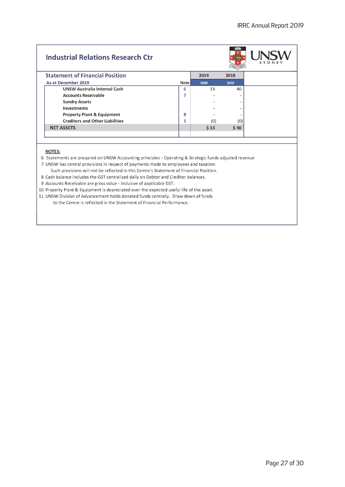# **Industrial Relations Research Ctr**



|                                        |             |       | <b>WU IT MAY</b> |
|----------------------------------------|-------------|-------|------------------|
| <b>Statement of Financial Position</b> |             | 2019  | 2018             |
| As at December 2019                    | <b>Note</b> | \$000 | \$000            |
| <b>UNSW Australia Internal Cash</b>    | 6           | 13    | 40               |
| <b>Accounts Receivable</b>             | 7           |       |                  |
| <b>Sundry Assets</b>                   |             |       | ۰                |
| <b>Investments</b>                     |             |       |                  |
| <b>Property Plant &amp; Equipment</b>  | 8           |       |                  |
| <b>Creditors and Other Liabilities</b> | 1           | (0)   | (0)              |
| <b>NET ASSETS</b>                      |             | \$13  | \$40             |
|                                        |             |       |                  |

#### NOTES:

6 Statements are prepared on UNSW Accounting principles - Operating & Strategic funds adjusted revenue

7 UNSW has central provisions in respect of payments made to employees and taxation.

Such provisions will not be reflected in this Centre's Statement of Financial Position.

8 Cash balance includes the GST centralised daily on Debtor and Creditor balances.

9 Accounts Receivable are gross value - inclusive of applicable GST.

10 Property Plant & Equipment is depreciated over the expected useful life of the asset.

11 UNSW Division of Advancement holds donated funds centrally. Draw down of funds to the Centre is reflected in the Statement of Financial Performance.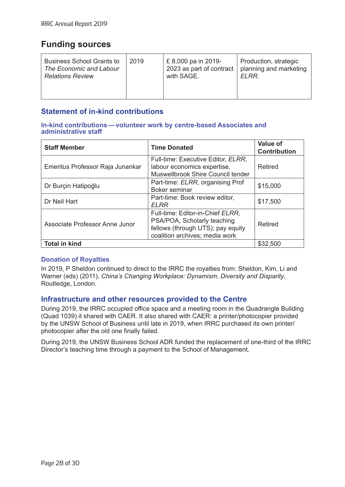# <span id="page-31-0"></span>**Funding sources**

| <b>Business School Grants to</b> | 2019 | £8,000 pa in 2019-       | Production, strategic  |
|----------------------------------|------|--------------------------|------------------------|
| The Economic and Labour          |      | 2023 as part of contract | planning and marketing |
| <b>Relations Review</b>          |      | with SAGE.               | ELRR.                  |

# **Statement of in-kind contributions**

#### **In-kind contributions—volunteer work by centre-based Associates and administrative staff**

| <b>Staff Member</b>              | <b>Time Donated</b>                                                                                                                    | <b>Value of</b><br><b>Contribution</b> |
|----------------------------------|----------------------------------------------------------------------------------------------------------------------------------------|----------------------------------------|
| Emeritus Professor Raja Junankar | Full-time: Executive Editor, ELRR,<br>labour economics expertise,<br>Muswellbrook Shire Council tender                                 | Retired                                |
| Dr Burçin Hatipoğlu              | Part-time: ELRR, organising Prof<br><b>Boker seminar</b>                                                                               | \$15,000                               |
| Dr Neil Hart                     | Part-time: Book review editor,<br><b>ELRR</b>                                                                                          | \$17,500                               |
| Associate Professor Anne Junor   | Full-time: Editor-in-Chief ELRR,<br>PSA/POA, Scholarly teaching<br>fellows (through UTS); pay equity<br>coalition archives; media work | Retired                                |
| <b>Total in kind</b>             |                                                                                                                                        | \$32,500                               |

# **Donation of Royalties**

In 2019, P Sheldon continued to direct to the IRRC the royalties from: Sheldon, Kim, Li and Warner (eds) (2011), *China's Changing Workplace: Dynamism, Diversity and Disparity*, Routledge, London.

# **Infrastructure and other resources provided to the Centre**

During 2019, the IRRC occupied office space and a meeting room in the Quadrangle Building (Quad 1039) it shared with CAER. It also shared with CAER: a printer/photocopier provided by the UNSW School of Business until late in 2019, when IRRC purchased its own printer/ photocopier after the old one finally failed.

During 2019, the UNSW Business School ADR funded the replacement of one-third of the IRRC Director's teaching time through a payment to the School of Management.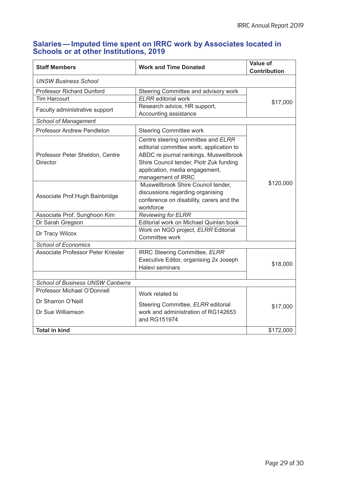# **Salaries—Imputed time spent on IRRC work by Associates located in Schools or at other Institutions, 2019**

| <b>Staff Members</b>                                                   | <b>Work and Time Donated</b>                                                                                                                                                                                                | <b>Value of</b><br><b>Contribution</b> |
|------------------------------------------------------------------------|-----------------------------------------------------------------------------------------------------------------------------------------------------------------------------------------------------------------------------|----------------------------------------|
| <b>UNSW Business School</b>                                            |                                                                                                                                                                                                                             |                                        |
| <b>Professor Richard Dunford</b>                                       | Steering Committee and advisory work                                                                                                                                                                                        |                                        |
| <b>Tim Harcourt</b>                                                    | <b>ELRR</b> editorial work                                                                                                                                                                                                  | \$17,000                               |
| Faculty administrative support                                         | Research advice, HR support,<br>Accounting assistance                                                                                                                                                                       |                                        |
| <b>School of Management</b>                                            |                                                                                                                                                                                                                             |                                        |
| <b>Professor Andrew Pendleton</b>                                      | <b>Steering Committee work</b>                                                                                                                                                                                              |                                        |
| Professor Peter Sheldon, Centre<br>Director                            | Centre steering committee and ELRR<br>editorial committee work; application to<br>ABDC re journal rankings, Muswellbrook<br>Shire Council tender, Piotr Zuk funding<br>application, media engagement,<br>management of IRRC |                                        |
| Associate Prof.Hugh Bainbridge                                         | Muswellbrook Shire Council tender,<br>discussions regarding organising<br>conference on disability, carers and the<br>workforce                                                                                             | \$120,000                              |
| Associate Prof. Sunghoon Kim                                           | <b>Reviewing for ELRR</b>                                                                                                                                                                                                   |                                        |
| Dr Sarah Gregson                                                       | Editorial work on Michael Quinlan book                                                                                                                                                                                      |                                        |
| Dr Tracy Wilcox                                                        | Work on NGO project, ELRR Editorial<br>Committee work                                                                                                                                                                       |                                        |
| <b>School of Economics</b>                                             |                                                                                                                                                                                                                             |                                        |
| Associate Professor Peter Kriesler                                     | IRRC Steering Committee, ELRR<br>Executive Editor, organising 2x Joseph<br>Halevi seminars                                                                                                                                  | \$18,000                               |
|                                                                        |                                                                                                                                                                                                                             |                                        |
| <b>School of Business UNSW Canberra</b><br>Professor Michael O'Donnell |                                                                                                                                                                                                                             |                                        |
|                                                                        | Work related to                                                                                                                                                                                                             |                                        |
| Dr Sharron O'Neill<br>Dr Sue Williamson                                | Steering Committee, ELRR editorial<br>work and administration of RG142653<br>and RG151974                                                                                                                                   | \$17,000                               |
| <b>Total in kind</b>                                                   |                                                                                                                                                                                                                             | \$172,000                              |